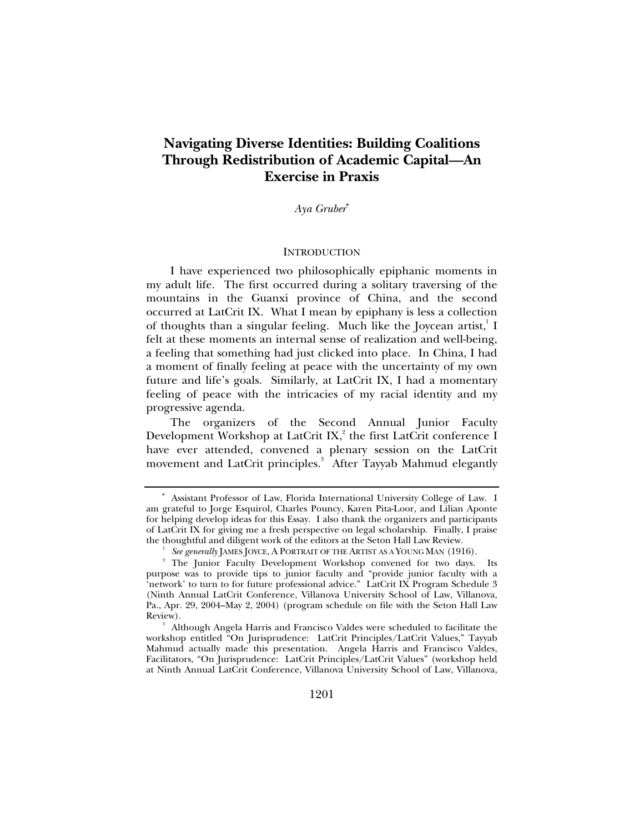# **Navigating Diverse Identities: Building Coalitions Through Redistribution of Academic Capital—An Exercise in Praxis**

*Aya Gruber*<sup>∗</sup>

#### INTRODUCTION

I have experienced two philosophically epiphanic moments in my adult life. The first occurred during a solitary traversing of the mountains in the Guanxi province of China, and the second occurred at LatCrit IX. What I mean by epiphany is less a collection of thoughts than a singular feeling. Much like the Joycean artist, I felt at these moments an internal sense of realization and well-being, a feeling that something had just clicked into place. In China, I had a moment of finally feeling at peace with the uncertainty of my own future and life's goals. Similarly, at LatCrit IX, I had a momentary feeling of peace with the intricacies of my racial identity and my progressive agenda.

The organizers of the Second Annual Junior Faculty Development Workshop at LatCrit IX,<sup>2</sup> the first LatCrit conference I have ever attended, convened a plenary session on the LatCrit movement and LatCrit principles.<sup>3</sup> After Tayyab Mahmud elegantly

<sup>∗</sup> Assistant Professor of Law, Florida International University College of Law. I am grateful to Jorge Esquirol, Charles Pouncy, Karen Pita-Loor, and Lilian Aponte for helping develop ideas for this Essay. I also thank the organizers and participants of LatCrit IX for giving me a fresh perspective on legal scholarship. Finally, I praise the thoughtful and diligent work of the editors at the Seton Hall Law Review. 1

*See generally JAMES JOYCE, A PORTRAIT OF THE ARTIST AS A YOUNG MAN (1916).* 

<sup>&</sup>lt;sup>2</sup> The Junior Faculty Development Workshop convened for two days. Its purpose was to provide tips to junior faculty and "provide junior faculty with a 'network' to turn to for future professional advice." LatCrit IX Program Schedule 3 (Ninth Annual LatCrit Conference, Villanova University School of Law, Villanova, Pa., Apr. 29, 2004–May 2, 2004) (program schedule on file with the Seton Hall Law Review).

Although Angela Harris and Francisco Valdes were scheduled to facilitate the workshop entitled "On Jurisprudence: LatCrit Principles/LatCrit Values," Tayyab Mahmud actually made this presentation. Angela Harris and Francisco Valdes, Facilitators, "On Jurisprudence: LatCrit Principles/LatCrit Values" (workshop held at Ninth Annual LatCrit Conference, Villanova University School of Law, Villanova,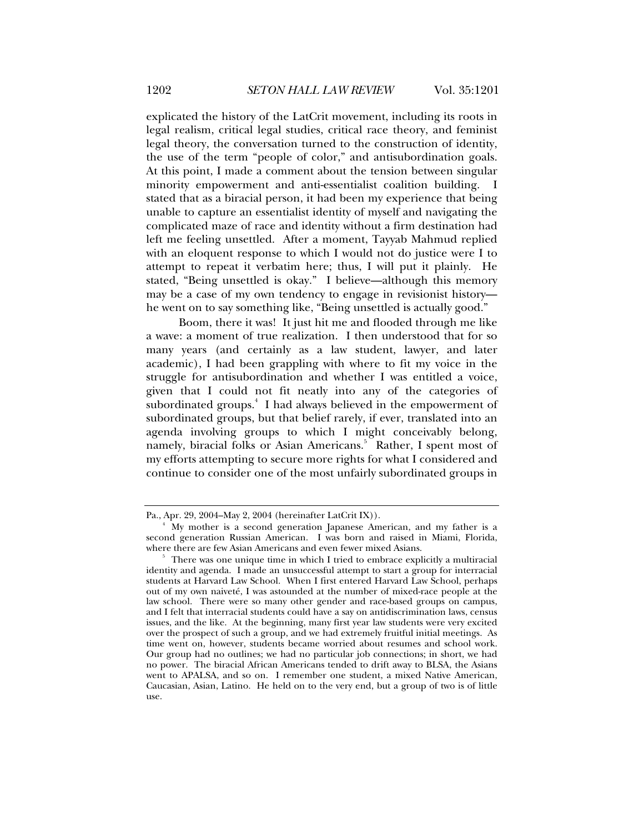explicated the history of the LatCrit movement, including its roots in legal realism, critical legal studies, critical race theory, and feminist legal theory, the conversation turned to the construction of identity, the use of the term "people of color," and antisubordination goals. At this point, I made a comment about the tension between singular minority empowerment and anti-essentialist coalition building. I stated that as a biracial person, it had been my experience that being unable to capture an essentialist identity of myself and navigating the complicated maze of race and identity without a firm destination had left me feeling unsettled. After a moment, Tayyab Mahmud replied with an eloquent response to which I would not do justice were I to attempt to repeat it verbatim here; thus, I will put it plainly. He stated, "Being unsettled is okay." I believe—although this memory may be a case of my own tendency to engage in revisionist history he went on to say something like, "Being unsettled is actually good."

 Boom, there it was! It just hit me and flooded through me like a wave: a moment of true realization. I then understood that for so many years (and certainly as a law student, lawyer, and later academic), I had been grappling with where to fit my voice in the struggle for antisubordination and whether I was entitled a voice, given that I could not fit neatly into any of the categories of subordinated groups.<sup>4</sup> I had always believed in the empowerment of subordinated groups, but that belief rarely, if ever, translated into an agenda involving groups to which I might conceivably belong, namely, biracial folks or Asian Americans.<sup>5</sup> Rather, I spent most of my efforts attempting to secure more rights for what I considered and continue to consider one of the most unfairly subordinated groups in

Pa., Apr. 29, 2004–May 2, 2004 (hereinafter LatCrit IX)). 4

My mother is a second generation Japanese American, and my father is a second generation Russian American. I was born and raised in Miami, Florida, where there are few Asian Americans and even fewer mixed Asians. 5

 $5$  There was one unique time in which I tried to embrace explicitly a multiracial identity and agenda. I made an unsuccessful attempt to start a group for interracial students at Harvard Law School. When I first entered Harvard Law School, perhaps out of my own naiveté, I was astounded at the number of mixed-race people at the law school. There were so many other gender and race-based groups on campus, and I felt that interracial students could have a say on antidiscrimination laws, census issues, and the like. At the beginning, many first year law students were very excited over the prospect of such a group, and we had extremely fruitful initial meetings. As time went on, however, students became worried about resumes and school work. Our group had no outlines; we had no particular job connections; in short, we had no power. The biracial African Americans tended to drift away to BLSA, the Asians went to APALSA, and so on. I remember one student, a mixed Native American, Caucasian, Asian, Latino. He held on to the very end, but a group of two is of little use.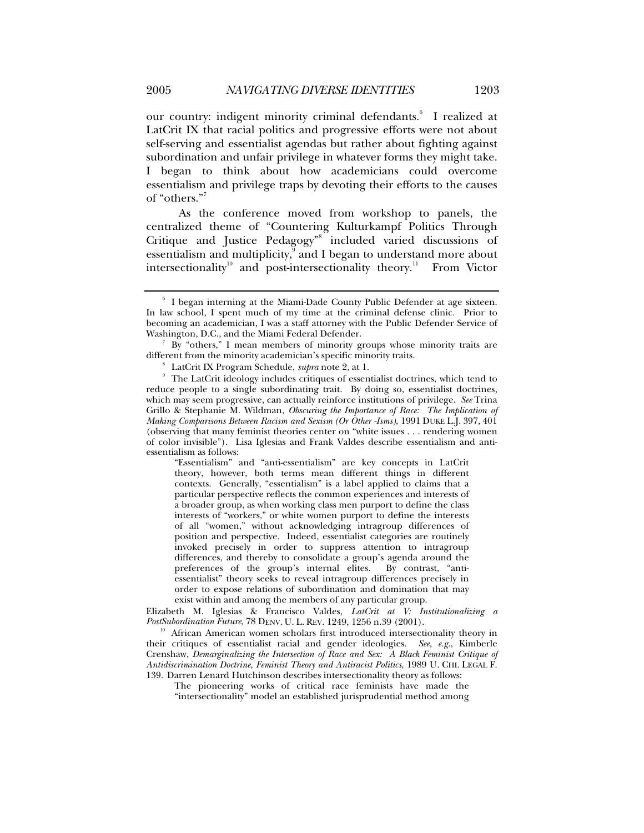our country: indigent minority criminal defendants.<sup>6</sup> I realized at LatCrit IX that racial politics and progressive efforts were not about self-serving and essentialist agendas but rather about fighting against subordination and unfair privilege in whatever forms they might take. I began to think about how academicians could overcome

essentialism and privilege traps by devoting their efforts to the causes of "others."<sup>7</sup>

 As the conference moved from workshop to panels, the centralized theme of "Countering Kulturkampf Politics Through Critique and Justice Pedagogy<sup>"8</sup> included varied discussions of essentialism and multiplicity,<sup>9</sup> and I began to understand more about intersectionality<sup>10</sup> and post-intersectionality theory.<sup>11</sup> From Victor

"Essentialism" and "anti-essentialism" are key concepts in LatCrit theory, however, both terms mean different things in different contexts. Generally, "essentialism" is a label applied to claims that a particular perspective reflects the common experiences and interests of a broader group, as when working class men purport to define the class interests of "workers," or white women purport to define the interests of all "women," without acknowledging intragroup differences of position and perspective. Indeed, essentialist categories are routinely invoked precisely in order to suppress attention to intragroup differences, and thereby to consolidate a group's agenda around the preferences of the group's internal elites. By contrast, "antiessentialist" theory seeks to reveal intragroup differences precisely in order to expose relations of subordination and domination that may exist within and among the members of any particular group.

Elizabeth M. Iglesias & Francisco Valdes, *LatCrit at V: Institutionalizing a* 

<sup>10</sup> African American women scholars first introduced intersectionality theory in their critiques of essentialist racial and gender ideologies. *See, e.g.*, Kimberle Crenshaw, *Demarginalizing the Intersection of Race and Sex: A Black Feminist Critique of Antidiscrimination Doctrine, Feminist Theory and Antiracist Politics*, 1989 U. CHI. LEGAL F. 139. Darren Lenard Hutchinson describes intersectionality theory as follows:

The pioneering works of critical race feminists have made the "intersectionality" model an established jurisprudential method among

<sup>6</sup> I began interning at the Miami-Dade County Public Defender at age sixteen. In law school, I spent much of my time at the criminal defense clinic. Prior to becoming an academician, I was a staff attorney with the Public Defender Service of Washington, D.C., and the Miami Federal Defender. 7

By "others," I mean members of minority groups whose minority traits are different from the minority academician's specific minority traits.

LatCrit IX Program Schedule, *supra* note 2, at 1.

The LatCrit ideology includes critiques of essentialist doctrines, which tend to reduce people to a single subordinating trait. By doing so, essentialist doctrines, which may seem progressive, can actually reinforce institutions of privilege. *See* Trina Grillo & Stephanie M. Wildman, *Obscuring the Importance of Race: The Implication of Making Comparisons Between Racism and Sexism (Or Other -Isms)*, 1991 DUKE L.J. 397, 401 (observing that many feminist theories center on "white issues . . . rendering women of color invisible"). Lisa Iglesias and Frank Valdes describe essentialism and antiessentialism as follows: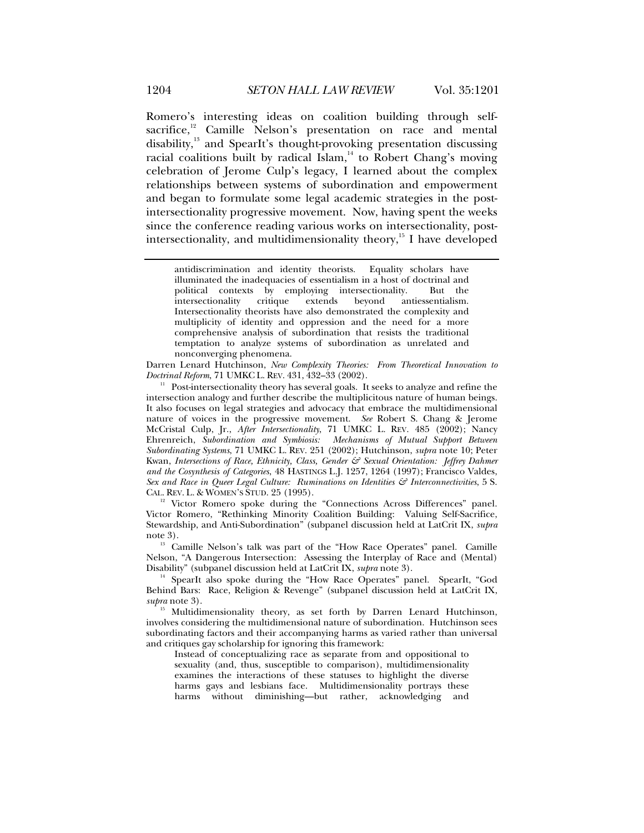Romero's interesting ideas on coalition building through selfsacrifice,<sup>12</sup> Camille Nelson's presentation on race and mental disability,<sup>13</sup> and SpearIt's thought-provoking presentation discussing racial coalitions built by radical Islam, $14$  to Robert Chang's moving celebration of Jerome Culp's legacy, I learned about the complex relationships between systems of subordination and empowerment and began to formulate some legal academic strategies in the postintersectionality progressive movement. Now, having spent the weeks since the conference reading various works on intersectionality, postintersectionality, and multidimensionality theory,<sup>15</sup> I have developed

Darren Lenard Hutchinson, *New Complexity Theories: From Theoretical Innovation to* 

<sup>11</sup> Post-intersectionality theory has several goals. It seeks to analyze and refine the intersection analogy and further describe the multiplicitous nature of human beings. It also focuses on legal strategies and advocacy that embrace the multidimensional nature of voices in the progressive movement. *See* Robert S. Chang & Jerome McCristal Culp, Jr., *After Intersectionality*, 71 UMKC L. REV. 485 (2002); Nancy Ehrenreich, *Subordination and Symbiosis: Mechanisms of Mutual Support Between Subordinating Systems*, 71 UMKC L. REV. 251 (2002); Hutchinson, *supra* note 10; Peter Kwan, *Intersections of Race, Ethnicity, Class, Gender & Sexual Orientation: Jeffrey Dahmer and the Cosynthesis of Categories*, 48 HASTINGS L.J. 1257, 1264 (1997); Francisco Valdes, Sex and Race in Queer Legal Culture: Ruminations on Identities  $\Im$  Interconnectivities, 5 S. CAL. REV. L. & WOMEN'S STUD. 25 (1995).

<sup>12</sup> Victor Romero spoke during the "Connections Across Differences" panel. Victor Romero, "Rethinking Minority Coalition Building: Valuing Self-Sacrifice, Stewardship, and Anti-Subordination" (subpanel discussion held at LatCrit IX, *supra* note 3).<br><sup>13</sup> Camille Nelson's talk was part of the "How Race Operates" panel. Camille

Nelson, "A Dangerous Intersection: Assessing the Interplay of Race and (Mental) Disability" (subpanel discussion held at LatCrit IX, *supra* note 3).<br><sup>14</sup> SpearIt also spoke during the "How Race Operates" panel. SpearIt, "God

Behind Bars: Race, Religion & Revenge" (subpanel discussion held at LatCrit IX, supra note 3).

<sup>15</sup> Multidimensionality theory, as set forth by Darren Lenard Hutchinson, involves considering the multidimensional nature of subordination. Hutchinson sees subordinating factors and their accompanying harms as varied rather than universal and critiques gay scholarship for ignoring this framework:

Instead of conceptualizing race as separate from and oppositional to sexuality (and, thus, susceptible to comparison), multidimensionality examines the interactions of these statuses to highlight the diverse harms gays and lesbians face. Multidimensionality portrays these harms without diminishing—but rather, acknowledging and

antidiscrimination and identity theorists. Equality scholars have illuminated the inadequacies of essentialism in a host of doctrinal and political contexts by employing intersectionality. But the critique extends beyond antiessentialism. Intersectionality theorists have also demonstrated the complexity and multiplicity of identity and oppression and the need for a more comprehensive analysis of subordination that resists the traditional temptation to analyze systems of subordination as unrelated and nonconverging phenomena.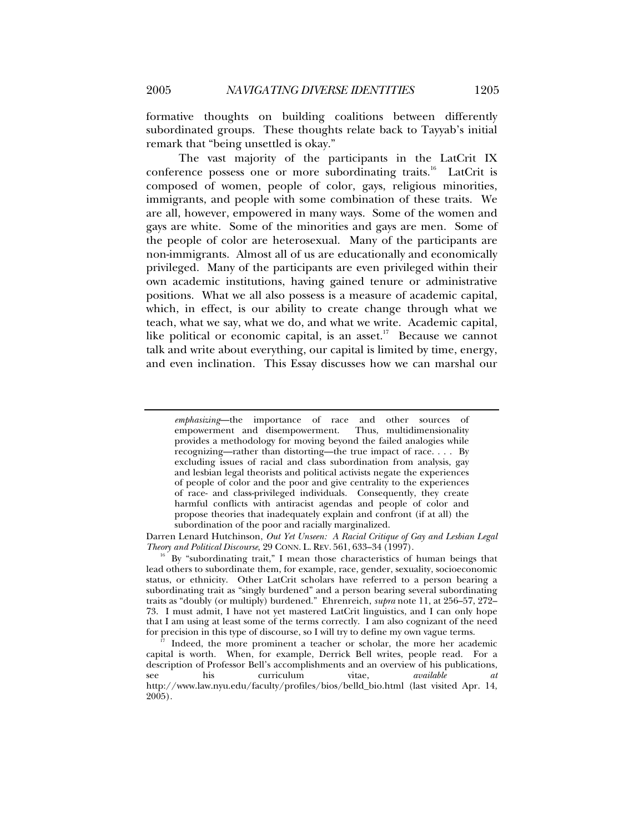formative thoughts on building coalitions between differently subordinated groups. These thoughts relate back to Tayyab's initial

remark that "being unsettled is okay." The vast majority of the participants in the LatCrit IX conference possess one or more subordinating traits.<sup>16</sup> LatCrit is composed of women, people of color, gays, religious minorities, immigrants, and people with some combination of these traits. We are all, however, empowered in many ways. Some of the women and gays are white. Some of the minorities and gays are men. Some of the people of color are heterosexual. Many of the participants are non-immigrants. Almost all of us are educationally and economically privileged. Many of the participants are even privileged within their own academic institutions, having gained tenure or administrative positions. What we all also possess is a measure of academic capital, which, in effect, is our ability to create change through what we teach, what we say, what we do, and what we write. Academic capital, like political or economic capital, is an asset.<sup>17</sup> Because we cannot talk and write about everything, our capital is limited by time, energy, and even inclination. This Essay discusses how we can marshal our

Darren Lenard Hutchinson, *Out Yet Unseen: A Racial Critique of Gay and Lesbian Legal* 

<sup>16</sup> By "subordinating trait," I mean those characteristics of human beings that lead others to subordinate them, for example, race, gender, sexuality, socioeconomic status, or ethnicity. Other LatCrit scholars have referred to a person bearing a subordinating trait as "singly burdened" and a person bearing several subordinating traits as "doubly (or multiply) burdened." Ehrenreich, *supra* note 11, at 256–57, 272– 73. I must admit, I have not yet mastered LatCrit linguistics, and I can only hope that I am using at least some of the terms correctly. I am also cognizant of the need for precision in this type of discourse, so I will try to define my own vague terms. 17 Indeed, the more prominent a teacher or scholar, the more her academic

capital is worth. When, for example, Derrick Bell writes, people read. For a description of Professor Bell's accomplishments and an overview of his publications,<br>see his curriculum vitae. *available at* see his curriculum vitae, *available at* http://www.law.nyu.edu/faculty/profiles/bios/belld\_bio.html (last visited Apr. 14, 2005).

*emphasizing*—the importance of race and other sources of empowerment and disempowerment. provides a methodology for moving beyond the failed analogies while recognizing—rather than distorting—the true impact of race. . . . By excluding issues of racial and class subordination from analysis, gay and lesbian legal theorists and political activists negate the experiences of people of color and the poor and give centrality to the experiences of race- and class-privileged individuals. Consequently, they create harmful conflicts with antiracist agendas and people of color and propose theories that inadequately explain and confront (if at all) the subordination of the poor and racially marginalized.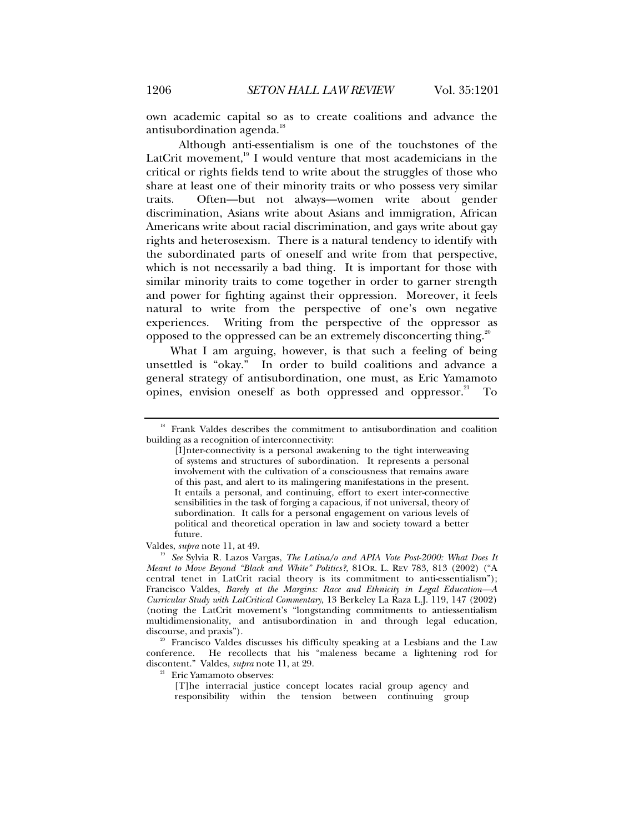own academic capital so as to create coalitions and advance the antisubordination agenda.<sup>18</sup>

 Although anti-essentialism is one of the touchstones of the LatCrit movement, $19$  I would venture that most academicians in the critical or rights fields tend to write about the struggles of those who share at least one of their minority traits or who possess very similar traits. Often—but not always—women write about gender discrimination, Asians write about Asians and immigration, African Americans write about racial discrimination, and gays write about gay rights and heterosexism. There is a natural tendency to identify with the subordinated parts of oneself and write from that perspective, which is not necessarily a bad thing. It is important for those with similar minority traits to come together in order to garner strength and power for fighting against their oppression. Moreover, it feels natural to write from the perspective of one's own negative experiences. Writing from the perspective of the oppressor as opposed to the oppressed can be an extremely disconcerting thing.<sup>20</sup>

What I am arguing, however, is that such a feeling of being unsettled is "okay." In order to build coalitions and advance a general strategy of antisubordination, one must, as Eric Yamamoto opines, envision oneself as both oppressed and oppressor.<sup>21</sup> To

<sup>&</sup>lt;sup>18</sup> Frank Valdes describes the commitment to antisubordination and coalition building as a recognition of interconnectivity:

<sup>[</sup>I]nter-connectivity is a personal awakening to the tight interweaving of systems and structures of subordination. It represents a personal involvement with the cultivation of a consciousness that remains aware of this past, and alert to its malingering manifestations in the present. It entails a personal, and continuing, effort to exert inter-connective sensibilities in the task of forging a capacious, if not universal, theory of subordination. It calls for a personal engagement on various levels of political and theoretical operation in law and society toward a better future.

Valdes, *supra* note 11, at 49.<br><sup>19</sup> See Sylvia R. Lazos Vargas, *The Latina/o and APIA Vote Post-2000: What Does It Meant to Move Beyond "Black and White" Politics?*, 81OR. L. REV 783, 813 (2002) ("A central tenet in LatCrit racial theory is its commitment to anti-essentialism"); Francisco Valdes, *Barely at the Margins: Race and Ethnicity in Legal Education—A Curricular Study with LatCritical Commentary*, 13 Berkeley La Raza L.J. 119, 147 (2002) (noting the LatCrit movement's "longstanding commitments to antiessentialism multidimensionality, and antisubordination in and through legal education, discourse, and praxis").

<sup>&</sup>lt;sup>20</sup> Francisco Valdes discusses his difficulty speaking at a Lesbians and the Law conference. He recollects that his "maleness became a lightening rod for discontent." Valdes, *supra* note 11, at 29.<br><sup>21</sup> Eric Yamamoto observes:

<sup>[</sup>T]he interracial justice concept locates racial group agency and responsibility within the tension between continuing group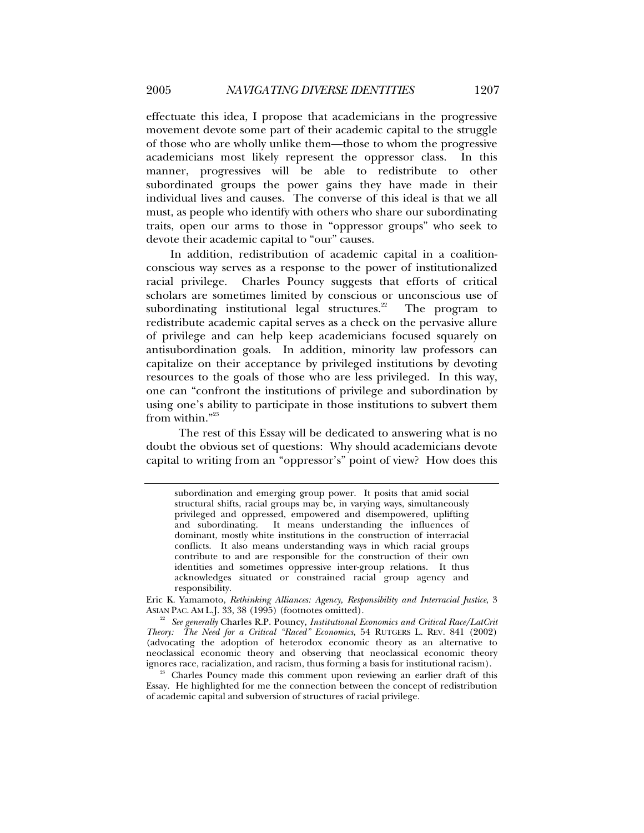effectuate this idea, I propose that academicians in the progressive movement devote some part of their academic capital to the struggle of those who are wholly unlike them—those to whom the progressive academicians most likely represent the oppressor class. In this manner, progressives will be able to redistribute to other subordinated groups the power gains they have made in their individual lives and causes. The converse of this ideal is that we all must, as people who identify with others who share our subordinating traits, open our arms to those in "oppressor groups" who seek to devote their academic capital to "our" causes.

In addition, redistribution of academic capital in a coalitionconscious way serves as a response to the power of institutionalized racial privilege. Charles Pouncy suggests that efforts of critical scholars are sometimes limited by conscious or unconscious use of subordinating institutional legal structures. $2^2$  The program to redistribute academic capital serves as a check on the pervasive allure of privilege and can help keep academicians focused squarely on antisubordination goals. In addition, minority law professors can capitalize on their acceptance by privileged institutions by devoting resources to the goals of those who are less privileged. In this way, one can "confront the institutions of privilege and subordination by using one's ability to participate in those institutions to subvert them from within. $"^{23}$ 

 The rest of this Essay will be dedicated to answering what is no doubt the obvious set of questions: Why should academicians devote capital to writing from an "oppressor's" point of view? How does this

subordination and emerging group power. It posits that amid social structural shifts, racial groups may be, in varying ways, simultaneously privileged and oppressed, empowered and disempowered, uplifting and subordinating. It means understanding the influences of dominant, mostly white institutions in the construction of interracial conflicts. It also means understanding ways in which racial groups contribute to and are responsible for the construction of their own identities and sometimes oppressive inter-group relations. It thus acknowledges situated or constrained racial group agency and responsibility.

Eric K. Yamamoto, *Rethinking Alliances: Agency, Responsibility and Interracial Justice*, 3 ASIAN PAC. AM L.J. 33, 38 (1995) (footnotes omitted). 22 *See generally* Charles R.P. Pouncy, *Institutional Economics and Critical Race/LatCrit* 

*Theory: The Need for a Critical "Raced" Economics*, 54 RUTGERS L. REV. 841 (2002) (advocating the adoption of heterodox economic theory as an alternative to neoclassical economic theory and observing that neoclassical economic theory<br>ignores race, racialization, and racism, thus forming a basis for institutional racism).

 $\frac{23}{23}$  Charles Pouncy made this comment upon reviewing an earlier draft of this Essay. He highlighted for me the connection between the concept of redistribution of academic capital and subversion of structures of racial privilege.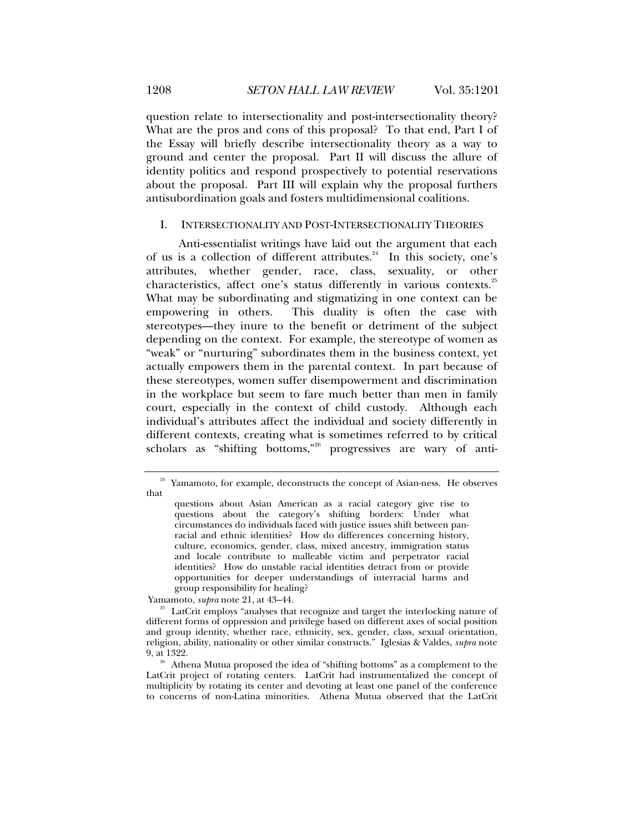question relate to intersectionality and post-intersectionality theory? What are the pros and cons of this proposal? To that end, Part I of the Essay will briefly describe intersectionality theory as a way to ground and center the proposal. Part II will discuss the allure of identity politics and respond prospectively to potential reservations about the proposal. Part III will explain why the proposal furthers antisubordination goals and fosters multidimensional coalitions.

# I. INTERSECTIONALITY AND POST-INTERSECTIONALITY THEORIES

 Anti-essentialist writings have laid out the argument that each of us is a collection of different attributes. $^{24}$  In this society, one's attributes, whether gender, race, class, sexuality, or other characteristics, affect one's status differently in various contexts.<sup>25</sup> What may be subordinating and stigmatizing in one context can be empowering in others. This duality is often the case with stereotypes—they inure to the benefit or detriment of the subject depending on the context. For example, the stereotype of women as "weak" or "nurturing" subordinates them in the business context, yet actually empowers them in the parental context. In part because of these stereotypes, women suffer disempowerment and discrimination in the workplace but seem to fare much better than men in family court, especially in the context of child custody. Although each individual's attributes affect the individual and society differently in different contexts, creating what is sometimes referred to by critical scholars as "shifting bottoms,"<sup>26</sup> progressives are wary of anti-

Yamamoto, *supra* note 21, at 43–44.<br><sup>25</sup> LatCrit employs "analyses that recognize and target the interlocking nature of different forms of oppression and privilege based on different axes of social position and group identity, whether race, ethnicity, sex, gender, class, sexual orientation, religion, ability, nationality or other similar constructs." Iglesias & Valdes, *supra* note

<sup>&</sup>lt;sup>24</sup> Yamamoto, for example, deconstructs the concept of Asian-ness. He observes that

questions about Asian American as a racial category give rise to questions about the category's shifting borders: Under what circumstances do individuals faced with justice issues shift between panracial and ethnic identities? How do differences concerning history, culture, economics, gender, class, mixed ancestry, immigration status and locale contribute to malleable victim and perpetrator racial identities? How do unstable racial identities detract from or provide opportunities for deeper understandings of interracial harms and group responsibility for healing?

 $26$  Athena Mutua proposed the idea of "shifting bottoms" as a complement to the LatCrit project of rotating centers. LatCrit had instrumentalized the concept of multiplicity by rotating its center and devoting at least one panel of the conference to concerns of non-Latina minorities. Athena Mutua observed that the LatCrit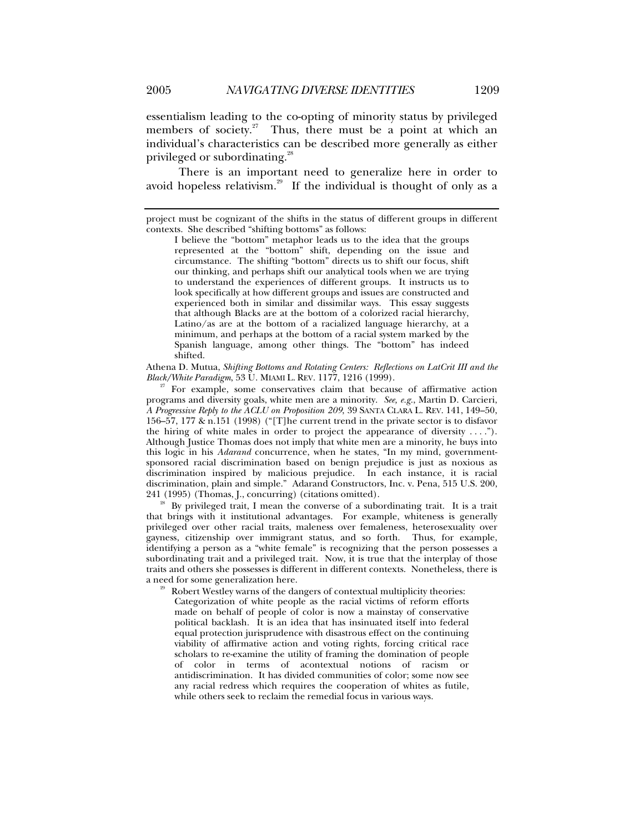essentialism leading to the co-opting of minority status by privileged members of society. $27$  Thus, there must be a point at which an individual's characteristics can be described more generally as either privileged or subordinating.<sup>28</sup>

 There is an important need to generalize here in order to avoid hopeless relativism.<sup>29</sup> If the individual is thought of only as a

Athena D. Mutua, *Shifting Bottoms and Rotating Centers: Reflections on LatCrit III and the* 

<sup>27</sup> For example, some conservatives claim that because of affirmative action programs and diversity goals, white men are a minority. *See, e.g.*, Martin D. Carcieri, *A Progressive Reply to the ACLU on Proposition 209*, 39 SANTA CLARA L. REV. 141, 149–50, 156–57, 177 & n.151 (1998) ("[T]he current trend in the private sector is to disfavor the hiring of white males in order to project the appearance of diversity . . . ."). Although Justice Thomas does not imply that white men are a minority, he buys into this logic in his *Adarand* concurrence, when he states, "In my mind, governmentsponsored racial discrimination based on benign prejudice is just as noxious as discrimination inspired by malicious prejudice. In each instance, it is racial discrimination, plain and simple." Adarand Constructors, Inc. v. Pena, 515 U.S. 200, 241 (1995) (Thomas, J., concurring) (citations omitted).<br><sup>28</sup> By privileged trait, I mean the converse of a subordinating trait. It is a trait

that brings with it institutional advantages. For example, whiteness is generally privileged over other racial traits, maleness over femaleness, heterosexuality over gayness, citizenship over immigrant status, and so forth. Thus, for example, identifying a person as a "white female" is recognizing that the person possesses a subordinating trait and a privileged trait. Now, it is true that the interplay of those traits and others she possesses is different in different contexts. Nonetheless, there is a need for some generalization here.<br><sup>29</sup> Robert Westley warns of the dangers of contextual multiplicity theories:

Categorization of white people as the racial victims of reform efforts made on behalf of people of color is now a mainstay of conservative political backlash. It is an idea that has insinuated itself into federal equal protection jurisprudence with disastrous effect on the continuing viability of affirmative action and voting rights, forcing critical race scholars to re-examine the utility of framing the domination of people of color in terms of acontextual notions of racism or antidiscrimination. It has divided communities of color; some now see any racial redress which requires the cooperation of whites as futile, while others seek to reclaim the remedial focus in various ways.

project must be cognizant of the shifts in the status of different groups in different contexts. She described "shifting bottoms" as follows:

I believe the "bottom" metaphor leads us to the idea that the groups represented at the "bottom" shift, depending on the issue and circumstance. The shifting "bottom" directs us to shift our focus, shift our thinking, and perhaps shift our analytical tools when we are trying to understand the experiences of different groups. It instructs us to look specifically at how different groups and issues are constructed and experienced both in similar and dissimilar ways. This essay suggests that although Blacks are at the bottom of a colorized racial hierarchy, Latino/as are at the bottom of a racialized language hierarchy, at a minimum, and perhaps at the bottom of a racial system marked by the Spanish language, among other things. The "bottom" has indeed shifted.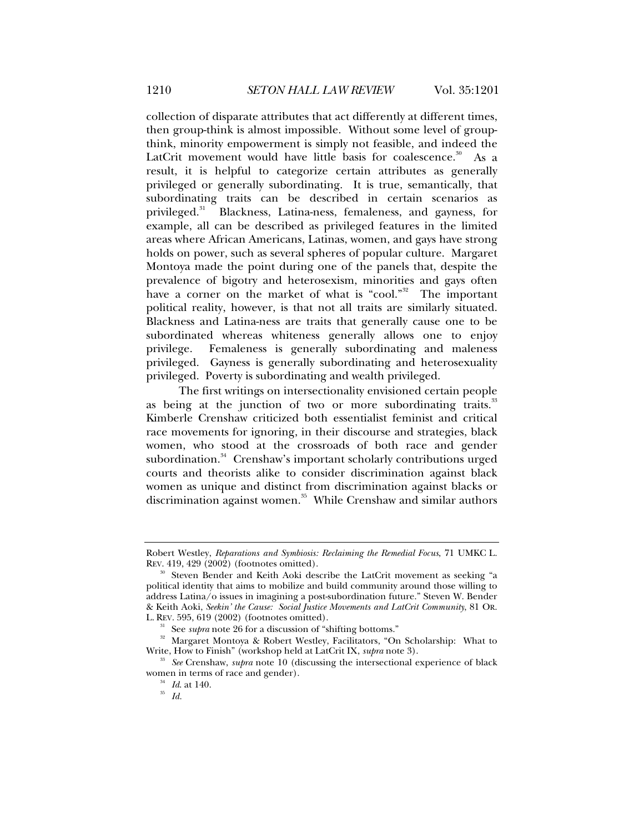collection of disparate attributes that act differently at different times, then group-think is almost impossible. Without some level of groupthink, minority empowerment is simply not feasible, and indeed the LatCrit movement would have little basis for coalescence.<sup>30</sup> As a result, it is helpful to categorize certain attributes as generally privileged or generally subordinating. It is true, semantically, that subordinating traits can be described in certain scenarios as privileged.<sup>31</sup> Blackness, Latina-ness, femaleness, and gayness, for example, all can be described as privileged features in the limited areas where African Americans, Latinas, women, and gays have strong holds on power, such as several spheres of popular culture. Margaret Montoya made the point during one of the panels that, despite the prevalence of bigotry and heterosexism, minorities and gays often have a corner on the market of what is "cool."<sup>32</sup> The important political reality, however, is that not all traits are similarly situated. Blackness and Latina-ness are traits that generally cause one to be subordinated whereas whiteness generally allows one to enjoy privilege. Femaleness is generally subordinating and maleness privileged. Gayness is generally subordinating and heterosexuality privileged. Poverty is subordinating and wealth privileged.

 The first writings on intersectionality envisioned certain people as being at the junction of two or more subordinating traits.<sup>33</sup> Kimberle Crenshaw criticized both essentialist feminist and critical race movements for ignoring, in their discourse and strategies, black women, who stood at the crossroads of both race and gender subordination.<sup>34</sup> Crenshaw's important scholarly contributions urged courts and theorists alike to consider discrimination against black women as unique and distinct from discrimination against blacks or discrimination against women.<sup>35</sup> While Crenshaw and similar authors

Robert Westley, *Reparations and Symbiosis: Reclaiming the Remedial Focus*, 71 UMKC L. REV. 419, 429 (2002) (footnotes omitted).

<sup>&</sup>lt;sup>30</sup> Steven Bender and Keith Aoki describe the LatCrit movement as seeking "a political identity that aims to mobilize and build community around those willing to address Latina/o issues in imagining a post-subordination future." Steven W. Bender & Keith Aoki, *Seekin' the Cause: Social Justice Movements and LatCrit Community*, 81 OR.

<sup>&</sup>lt;sup>31</sup> See *supra* note 26 for a discussion of "shifting bottoms."<br><sup>32</sup> Margaret Montoya & Robert Westley, Facilitators, "On Scholarship: What to<br>Write, How to Finish" (workshop held at LatCrit IX, *supra* note 3).

<sup>&</sup>lt;sup>33</sup> See Crenshaw, *supra* note 10 (discussing the intersectional experience of black women in terms of race and gender). 34 *Id*. at 140. 35 *Id.*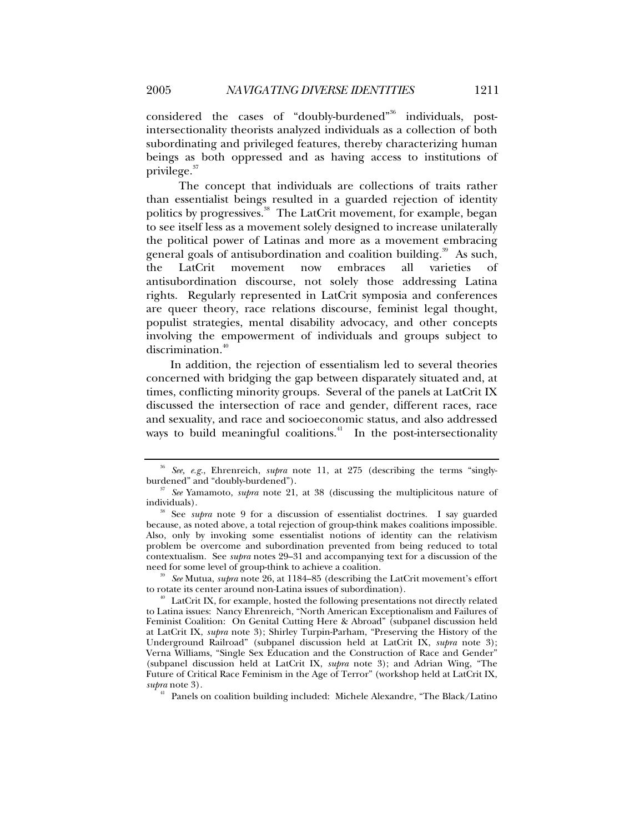considered the cases of "doubly-burdened"<sup>36</sup> individuals, postintersectionality theorists analyzed individuals as a collection of both subordinating and privileged features, thereby characterizing human beings as both oppressed and as having access to institutions of privilege. $37$ 

 The concept that individuals are collections of traits rather than essentialist beings resulted in a guarded rejection of identity politics by progressives.<sup>38</sup> The LatCrit movement, for example, began to see itself less as a movement solely designed to increase unilaterally the political power of Latinas and more as a movement embracing general goals of antisubordination and coalition building.<sup>39</sup> As such, the LatCrit movement now embraces all varieties of antisubordination discourse, not solely those addressing Latina rights. Regularly represented in LatCrit symposia and conferences are queer theory, race relations discourse, feminist legal thought, populist strategies, mental disability advocacy, and other concepts involving the empowerment of individuals and groups subject to discrimination.<sup>40</sup>

In addition, the rejection of essentialism led to several theories concerned with bridging the gap between disparately situated and, at times, conflicting minority groups. Several of the panels at LatCrit IX discussed the intersection of race and gender, different races, race and sexuality, and race and socioeconomic status, and also addressed ways to build meaningful coalitions.<sup>41</sup> In the post-intersectionality

need for some level of group-think to achieve a coalition.<br><sup>39</sup> See Mutua, *supra* note 26, at 1184–85 (describing the LatCrit movement's effort<br>to rotate its center around non-Latina issues of subordination).

<sup>&</sup>lt;sup>36</sup> See, e.g., Ehrenreich, *supra* note 11, at 275 (describing the terms "singly-burdened" and "doubly-burdened").

<sup>&</sup>lt;sup>37</sup> See Yamamoto, *supra* note 21, at 38 (discussing the multiplicitous nature of individuals).

<sup>&</sup>lt;sup>38</sup> See *supra* note 9 for a discussion of essentialist doctrines. I say guarded because, as noted above, a total rejection of group-think makes coalitions impossible. Also, only by invoking some essentialist notions of identity can the relativism problem be overcome and subordination prevented from being reduced to total contextualism. See *supra* notes 29–31 and accompanying text for a discussion of the

 $\alpha$ <sup>D</sup> LatCrit IX, for example, hosted the following presentations not directly related to Latina issues: Nancy Ehrenreich, "North American Exceptionalism and Failures of Feminist Coalition: On Genital Cutting Here & Abroad" (subpanel discussion held at LatCrit IX, *supra* note 3); Shirley Turpin-Parham, "Preserving the History of the Underground Railroad" (subpanel discussion held at LatCrit IX, *supra* note 3); Verna Williams, "Single Sex Education and the Construction of Race and Gender" (subpanel discussion held at LatCrit IX, *supra* note 3); and Adrian Wing, "The Future of Critical Race Feminism in the Age of Terror" (workshop held at LatCrit IX, *supra* note 3)*.*

 $^{\rm 41}$  Panels on coalition building included: Michele Alexandre, "The Black/Latino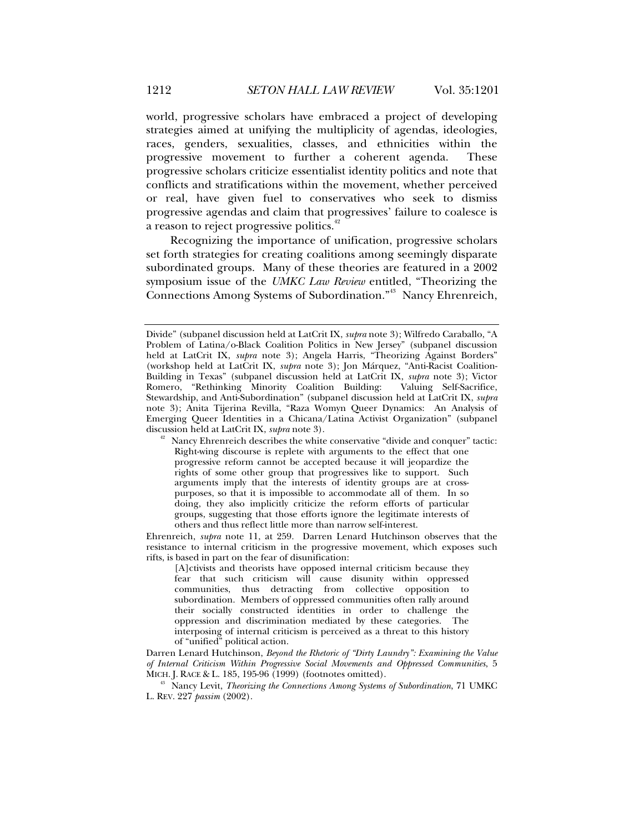world, progressive scholars have embraced a project of developing strategies aimed at unifying the multiplicity of agendas, ideologies, races, genders, sexualities, classes, and ethnicities within the progressive movement to further a coherent agenda. These progressive scholars criticize essentialist identity politics and note that conflicts and stratifications within the movement, whether perceived or real, have given fuel to conservatives who seek to dismiss progressive agendas and claim that progressives' failure to coalesce is a reason to reject progressive politics.<sup>42</sup>

Recognizing the importance of unification, progressive scholars set forth strategies for creating coalitions among seemingly disparate subordinated groups. Many of these theories are featured in a 2002 symposium issue of the *UMKC Law Review* entitled, "Theorizing the Connections Among Systems of Subordination."43 Nancy Ehrenreich,

Ehrenreich, *supra* note 11, at 259. Darren Lenard Hutchinson observes that the resistance to internal criticism in the progressive movement, which exposes such rifts, is based in part on the fear of disunification:

[A]ctivists and theorists have opposed internal criticism because they fear that such criticism will cause disunity within oppressed communities, thus detracting from collective opposition to subordination. Members of oppressed communities often rally around their socially constructed identities in order to challenge the oppression and discrimination mediated by these categories. The interposing of internal criticism is perceived as a threat to this history of "unified" political action.

Darren Lenard Hutchinson, *Beyond the Rhetoric of "Dirty Laundry": Examining the Value of Internal Criticism Within Progressive Social Movements and Oppressed Communities*, 5 MICH. J. RACE & L. 185, 195-96 (1999) (footnotes omitted). 43 Nancy Levit, *Theorizing the Connections Among Systems of Subordination*, 71 UMKC

Divide" (subpanel discussion held at LatCrit IX, *supra* note 3); Wilfredo Caraballo, "A Problem of Latina/o-Black Coalition Politics in New Jersey" (subpanel discussion held at LatCrit IX, *supra* note 3); Angela Harris, "Theorizing Against Borders" (workshop held at LatCrit IX, *supra* note 3); Jon Márquez, "Anti-Racist Coalition-Building in Texas" (subpanel discussion held at LatCrit IX, *supra* note 3); Victor Romero, "Rethinking Minority Coalition Building: Valuing Self-Sacrifice, Stewardship, and Anti-Subordination" (subpanel discussion held at LatCrit IX, *supra* note 3); Anita Tijerina Revilla, "Raza Womyn Queer Dynamics: An Analysis of Emerging Queer Identities in a Chicana/Latina Activist Organization" (subpanel discussion held at LatCrit IX, *supra* note 3).

Nancy Ehrenreich describes the white conservative "divide and conquer" tactic: Right-wing discourse is replete with arguments to the effect that one progressive reform cannot be accepted because it will jeopardize the rights of some other group that progressives like to support. Such arguments imply that the interests of identity groups are at crosspurposes, so that it is impossible to accommodate all of them. In so doing, they also implicitly criticize the reform efforts of particular groups, suggesting that those efforts ignore the legitimate interests of others and thus reflect little more than narrow self-interest.

L. REV. 227 *passim* (2002).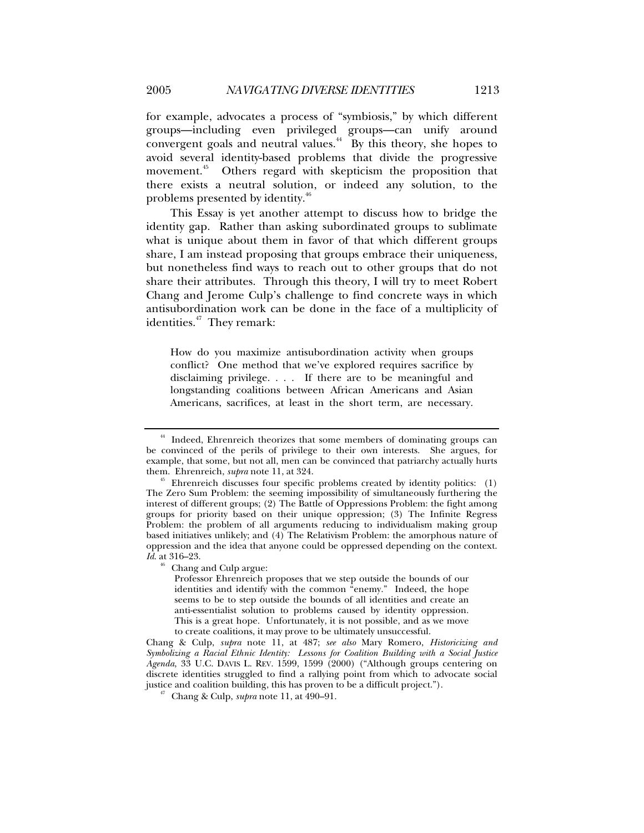for example, advocates a process of "symbiosis," by which different groups—including even privileged groups—can unify around convergent goals and neutral values.<sup>44</sup> By this theory, she hopes to avoid several identity-based problems that divide the progressive movement.<sup>45</sup> Others regard with skepticism the proposition that there exists a neutral solution, or indeed any solution, to the problems presented by identity.46

This Essay is yet another attempt to discuss how to bridge the identity gap. Rather than asking subordinated groups to sublimate what is unique about them in favor of that which different groups share, I am instead proposing that groups embrace their uniqueness, but nonetheless find ways to reach out to other groups that do not share their attributes. Through this theory, I will try to meet Robert Chang and Jerome Culp's challenge to find concrete ways in which antisubordination work can be done in the face of a multiplicity of identities.<sup>47</sup> They remark:

How do you maximize antisubordination activity when groups conflict? One method that we've explored requires sacrifice by disclaiming privilege. . . . If there are to be meaningful and longstanding coalitions between African Americans and Asian Americans, sacrifices, at least in the short term, are necessary.

Chang and Culp argue:

Professor Ehrenreich proposes that we step outside the bounds of our identities and identify with the common "enemy." Indeed, the hope seems to be to step outside the bounds of all identities and create an anti-essentialist solution to problems caused by identity oppression. This is a great hope. Unfortunately, it is not possible, and as we move to create coalitions, it may prove to be ultimately unsuccessful.

Chang & Culp, *supra* note 11, at 487; *see also* Mary Romero, *Historicizing and Symbolizing a Racial Ethnic Identity: Lessons for Coalition Building with a Social Justice Agenda*, 33 U.C. DAVIS L. REV. 1599, 1599 (2000) ("Although groups centering on discrete identities struggled to find a rallying point from which to advocate social justice and coalition building, this has proven to be a difficult project."). 47 Chang & Culp, *supra* note 11, at 490–91.

<sup>&</sup>lt;sup>44</sup> Indeed, Ehrenreich theorizes that some members of dominating groups can be convinced of the perils of privilege to their own interests. She argues, for example, that some, but not all, men can be convinced that patriarchy actually hurts them. Ehrenreich, *supra* note 11, at 324.<br><sup>45</sup> Ehrenreich discusses four specific problems created by identity politics: (1)

The Zero Sum Problem: the seeming impossibility of simultaneously furthering the interest of different groups; (2) The Battle of Oppressions Problem: the fight among groups for priority based on their unique oppression; (3) The Infinite Regress Problem: the problem of all arguments reducing to individualism making group based initiatives unlikely; and (4) The Relativism Problem: the amorphous nature of oppression and the idea that anyone could be oppressed depending on the context. *Id*. at 316–23.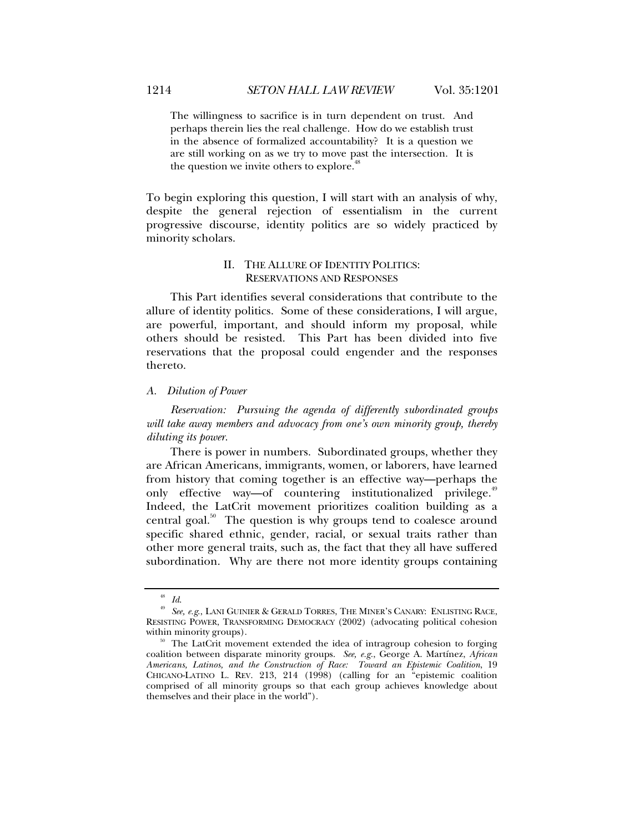The willingness to sacrifice is in turn dependent on trust. And perhaps therein lies the real challenge. How do we establish trust in the absence of formalized accountability? It is a question we are still working on as we try to move past the intersection. It is the question we invite others to explore.<sup>48</sup>

To begin exploring this question, I will start with an analysis of why, despite the general rejection of essentialism in the current progressive discourse, identity politics are so widely practiced by minority scholars.

# II. THE ALLURE OF IDENTITY POLITICS: RESERVATIONS AND RESPONSES

This Part identifies several considerations that contribute to the allure of identity politics. Some of these considerations, I will argue, are powerful, important, and should inform my proposal, while others should be resisted. This Part has been divided into five reservations that the proposal could engender and the responses thereto.

#### *A. Dilution of Power*

*Reservation: Pursuing the agenda of differently subordinated groups will take away members and advocacy from one's own minority group, thereby diluting its power.*

There is power in numbers. Subordinated groups, whether they are African Americans, immigrants, women, or laborers, have learned from history that coming together is an effective way—perhaps the only effective way—of countering institutionalized privilege.<sup>49</sup> Indeed, the LatCrit movement prioritizes coalition building as a central goal.<sup>50</sup> The question is why groups tend to coalesce around specific shared ethnic, gender, racial, or sexual traits rather than other more general traits, such as, the fact that they all have suffered subordination. Why are there not more identity groups containing

<sup>48</sup> *Id*. 49 *See, e.g*., LANI GUINIER & GERALD TORRES, THE MINER'S CANARY: ENLISTING RACE, RESISTING POWER, TRANSFORMING DEMOCRACY (2002) (advocating political cohesion within minority groups).<br><sup>50</sup> The LatCrit movement extended the idea of intragroup cohesion to forging

coalition between disparate minority groups. *See, e.g.*, George A. Martínez, *African Americans, Latinos, and the Construction of Race: Toward an Epistemic Coalition*, 19 CHICANO-LATINO L. REV. 213, 214 (1998) (calling for an "epistemic coalition comprised of all minority groups so that each group achieves knowledge about themselves and their place in the world").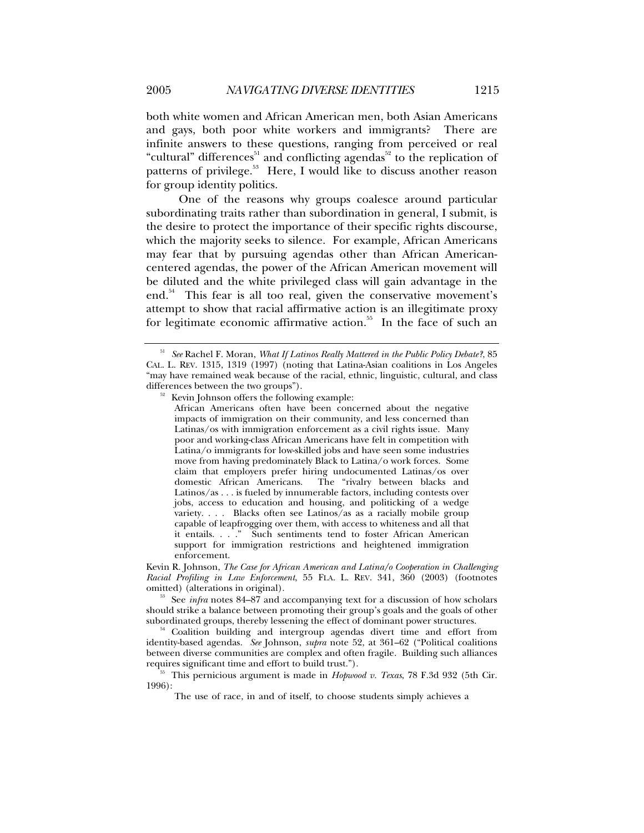both white women and African American men, both Asian Americans and gays, both poor white workers and immigrants? There are infinite answers to these questions, ranging from perceived or real "cultural" differences<sup>51</sup> and conflicting agendas<sup>52</sup> to the replication of patterns of privilege.<sup>53</sup> Here, I would like to discuss another reason for group identity politics.

 One of the reasons why groups coalesce around particular subordinating traits rather than subordination in general, I submit, is the desire to protect the importance of their specific rights discourse, which the majority seeks to silence. For example, African Americans may fear that by pursuing agendas other than African Americancentered agendas, the power of the African American movement will be diluted and the white privileged class will gain advantage in the end.<sup>54</sup> This fear is all too real, given the conservative movement's attempt to show that racial affirmative action is an illegitimate proxy for legitimate economic affirmative action.<sup>55</sup> In the face of such an

Kevin R. Johnson, *The Case for African American and Latina/o Cooperation in Challenging Racial Profiling in Law Enforcement*, 55 FLA. L. REV. 341, 360 (2003) (footnotes

<sup>53</sup> See *infra* notes 84–87 and accompanying text for a discussion of how scholars should strike a balance between promoting their group's goals and the goals of other

 $54$  Coalition building and intergroup agendas divert time and effort from identity-based agendas. *See* Johnson, *supra* note 52, at 361–62 ("Political coalitions between diverse communities are complex and often fragile. Building such alliances

<sup>55</sup> This pernicious argument is made in *Hopwood v. Texas*, 78 F.3d 932 (5th Cir. 1996):

The use of race, in and of itself, to choose students simply achieves a

<sup>51</sup> *See* Rachel F. Moran, *What If Latinos Really Mattered in the Public Policy Debate?*, 85 CAL. L. REV. 1315, 1319 (1997) (noting that Latina-Asian coalitions in Los Angeles "may have remained weak because of the racial, ethnic, linguistic, cultural, and class

Kevin Johnson offers the following example:

African Americans often have been concerned about the negative impacts of immigration on their community, and less concerned than Latinas/os with immigration enforcement as a civil rights issue. Many poor and working-class African Americans have felt in competition with Latina/o immigrants for low-skilled jobs and have seen some industries move from having predominately Black to Latina/o work forces. Some claim that employers prefer hiring undocumented Latinas/os over domestic African Americans. The "rivalry between blacks and Latinos/as . . . is fueled by innumerable factors, including contests over jobs, access to education and housing, and politicking of a wedge variety. . . . Blacks often see Latinos/as as a racially mobile group capable of leapfrogging over them, with access to whiteness and all that it entails. . . ." Such sentiments tend to foster African American support for immigration restrictions and heightened immigration enforcement.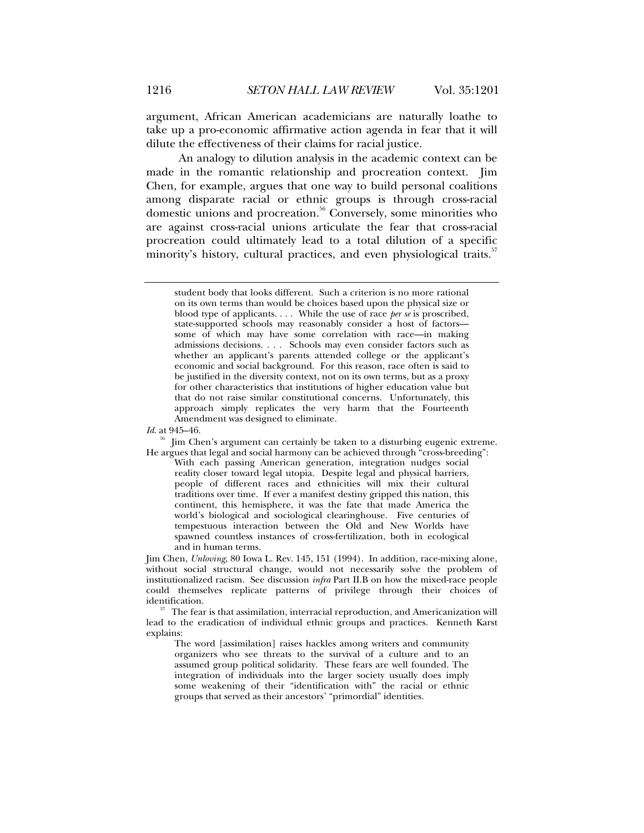argument, African American academicians are naturally loathe to take up a pro-economic affirmative action agenda in fear that it will dilute the effectiveness of their claims for racial justice.

 An analogy to dilution analysis in the academic context can be made in the romantic relationship and procreation context. Jim Chen, for example, argues that one way to build personal coalitions among disparate racial or ethnic groups is through cross-racial domestic unions and procreation.<sup>56</sup> Conversely, some minorities who are against cross-racial unions articulate the fear that cross-racial procreation could ultimately lead to a total dilution of a specific minority's history, cultural practices, and even physiological traits.<sup>57</sup>

 $56$  Jim Chen's argument can certainly be taken to a disturbing eugenic extreme. He argues that legal and social harmony can be achieved through "cross-breeding":

With each passing American generation, integration nudges social reality closer toward legal utopia. Despite legal and physical barriers, people of different races and ethnicities will mix their cultural traditions over time. If ever a manifest destiny gripped this nation, this continent, this hemisphere, it was the fate that made America the world's biological and sociological clearinghouse. Five centuries of tempestuous interaction between the Old and New Worlds have spawned countless instances of cross-fertilization, both in ecological and in human terms.

Jim Chen, *Unloving*, 80 Iowa L. Rev. 145, 151 (1994).In addition, race-mixing alone, without social structural change, would not necessarily solve the problem of institutionalized racism. See discussion *infra* Part II.B on how the mixed-race people could themselves replicate patterns of privilege through their choices of

 $\,$  57 The fear is that assimilation, interracial reproduction, and Americanization will lead to the eradication of individual ethnic groups and practices. Kenneth Karst explains:

The word [assimilation] raises hackles among writers and community organizers who see threats to the survival of a culture and to an assumed group political solidarity. These fears are well founded. The integration of individuals into the larger society usually does imply some weakening of their "identification with" the racial or ethnic groups that served as their ancestors' "primordial" identities.

student body that looks different. Such a criterion is no more rational on its own terms than would be choices based upon the physical size or blood type of applicants. . . . While the use of race *per se* is proscribed, state-supported schools may reasonably consider a host of factors some of which may have some correlation with race—in making admissions decisions. . . . Schools may even consider factors such as whether an applicant's parents attended college or the applicant's economic and social background. For this reason, race often is said to be justified in the diversity context, not on its own terms, but as a proxy for other characteristics that institutions of higher education value but that do not raise similar constitutional concerns. Unfortunately, this approach simply replicates the very harm that the Fourteenth Amendment was designed to eliminate.

*Id*. at 945–46.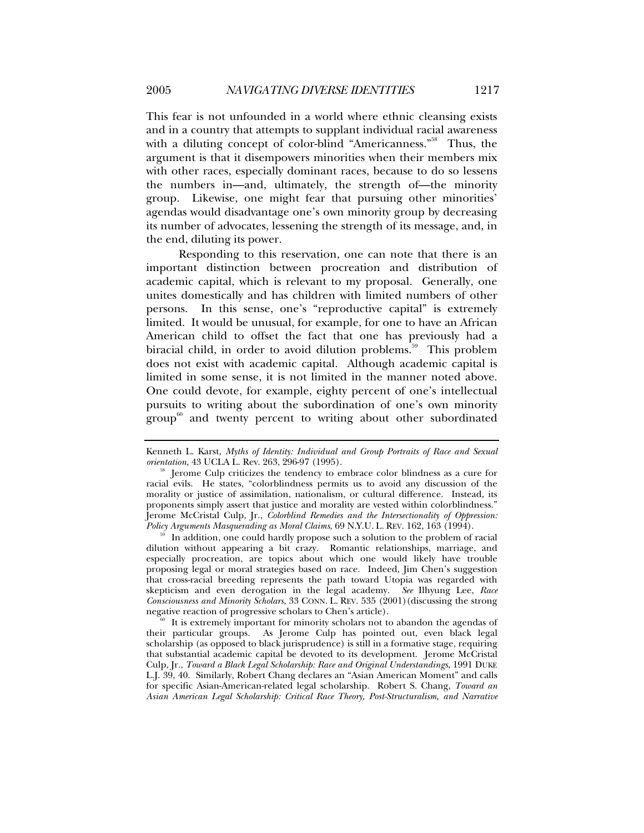This fear is not unfounded in a world where ethnic cleansing exists and in a country that attempts to supplant individual racial awareness with a diluting concept of color-blind "Americanness."<sup>58</sup> Thus, the argument is that it disempowers minorities when their members mix with other races, especially dominant races, because to do so lessens the numbers in—and, ultimately, the strength of—the minority group. Likewise, one might fear that pursuing other minorities' agendas would disadvantage one's own minority group by decreasing its number of advocates, lessening the strength of its message, and, in the end, diluting its power.

 Responding to this reservation, one can note that there is an important distinction between procreation and distribution of academic capital, which is relevant to my proposal. Generally, one unites domestically and has children with limited numbers of other persons. In this sense, one's "reproductive capital" is extremely limited. It would be unusual, for example, for one to have an African American child to offset the fact that one has previously had a biracial child, in order to avoid dilution problems.<sup>59</sup> This problem does not exist with academic capital. Although academic capital is limited in some sense, it is not limited in the manner noted above. One could devote, for example, eighty percent of one's intellectual pursuits to writing about the subordination of one's own minority  $\text{group}^6$  and twenty percent to writing about other subordinated

In addition, one could hardly propose such a solution to the problem of racial dilution without appearing a bit crazy. Romantic relationships, marriage, and especially procreation, are topics about which one would likely have trouble proposing legal or moral strategies based on race. Indeed, Jim Chen's suggestion that cross-racial breeding represents the path toward Utopia was regarded with skepticism and even derogation in the legal academy. *See* Ilhyung Lee, *Race Consciousness and Minority Scholars*, 33 CONN. L. REV. 535 (2001)(discussing the strong negative reaction of progressive scholars to Chen's article).

It is extremely important for minority scholars not to abandon the agendas of their particular groups. As Jerome Culp has pointed out, even black legal scholarship (as opposed to black jurisprudence) is still in a formative stage, requiring that substantial academic capital be devoted to its development. Jerome McCristal Culp, Jr., *Toward a Black Legal Scholarship: Race and Original Understandings*, 1991 DUKE L.J. 39, 40. Similarly, Robert Chang declares an "Asian American Moment" and calls for specific Asian-American-related legal scholarship. Robert S. Chang, *Toward an Asian American Legal Scholarship: Critical Race Theory, Post-Structuralism, and Narrative* 

Kenneth L. Karst, *Myths of Identity: Individual and Group Portraits of Race and Sexual* 

<sup>&</sup>lt;sup>58</sup> Jerome Culp criticizes the tendency to embrace color blindness as a cure for racial evils. He states, "colorblindness permits us to avoid any discussion of the morality or justice of assimilation, nationalism, or cultural difference. Instead, its proponents simply assert that justice and morality are vested within colorblindness." Jerome McCristal Culp, Jr., *Colorblind Remedies and the Intersectionality of Oppression:*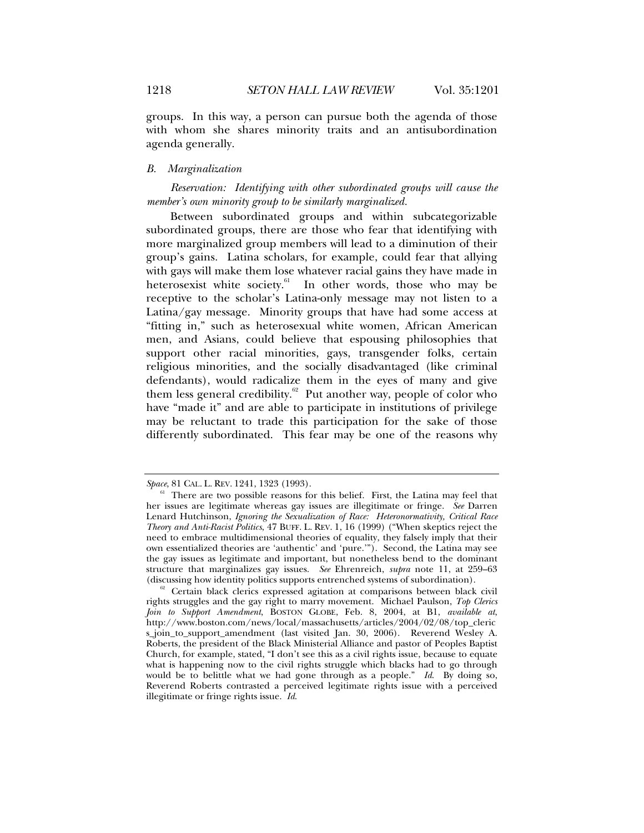groups. In this way, a person can pursue both the agenda of those with whom she shares minority traits and an antisubordination agenda generally.

### *B. Marginalization*

*Reservation: Identifying with other subordinated groups will cause the member's own minority group to be similarly marginalized.*

Between subordinated groups and within subcategorizable subordinated groups, there are those who fear that identifying with more marginalized group members will lead to a diminution of their group's gains. Latina scholars, for example, could fear that allying with gays will make them lose whatever racial gains they have made in heterosexist white society.<sup>61</sup> In other words, those who may be receptive to the scholar's Latina-only message may not listen to a Latina/gay message. Minority groups that have had some access at "fitting in," such as heterosexual white women, African American men, and Asians, could believe that espousing philosophies that support other racial minorities, gays, transgender folks, certain religious minorities, and the socially disadvantaged (like criminal defendants), would radicalize them in the eyes of many and give them less general credibility.<sup>62</sup> Put another way, people of color who have "made it" and are able to participate in institutions of privilege may be reluctant to trade this participation for the sake of those differently subordinated. This fear may be one of the reasons why

*Space*, 81 CAL. L. REV. 1241, 1323 (1993).<br><sup>61</sup> There are two possible reasons for this belief. First, the Latina may feel that her issues are legitimate whereas gay issues are illegitimate or fringe. *See* Darren Lenard Hutchinson, *Ignoring the Sexualization of Race: Heteronormativity, Critical Race Theory and Anti-Racist Politics*, 47 BUFF. L. REV. 1, 16 (1999) ("When skeptics reject the need to embrace multidimensional theories of equality, they falsely imply that their own essentialized theories are 'authentic' and 'pure.'"). Second, the Latina may see the gay issues as legitimate and important, but nonetheless bend to the dominant structure that marginalizes gay issues. *See* Ehrenreich, *supra* note 11, at 259–63 (discussing how identity politics supports entrenched systems of subordination). 62 Certain black clerics expressed agitation at comparisons between black civil

rights struggles and the gay right to marry movement. Michael Paulson, *Top Clerics Join to Support Amendment*, BOSTON GLOBE, Feb. 8, 2004, at B1, *available at*, http://www.boston.com/news/local/massachusetts/articles/2004/02/08/top\_cleric s\_join\_to\_support\_amendment (last visited Jan. 30, 2006). Reverend Wesley A. Roberts, the president of the Black Ministerial Alliance and pastor of Peoples Baptist Church, for example, stated, "I don't see this as a civil rights issue, because to equate what is happening now to the civil rights struggle which blacks had to go through would be to belittle what we had gone through as a people." *Id*. By doing so, Reverend Roberts contrasted a perceived legitimate rights issue with a perceived illegitimate or fringe rights issue. *Id*.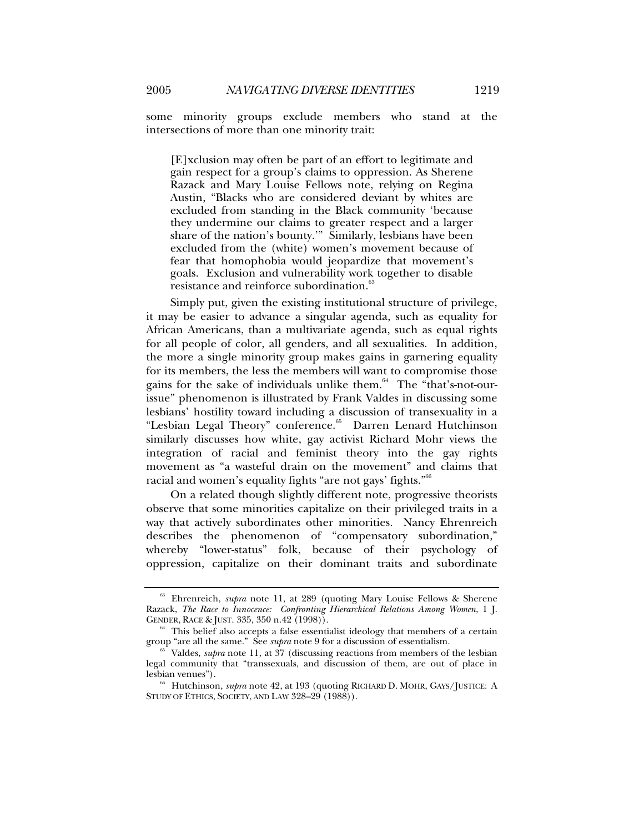some minority groups exclude members who stand at the intersections of more than one minority trait:

[E]xclusion may often be part of an effort to legitimate and gain respect for a group's claims to oppression. As Sherene Razack and Mary Louise Fellows note, relying on Regina Austin, "Blacks who are considered deviant by whites are excluded from standing in the Black community 'because they undermine our claims to greater respect and a larger share of the nation's bounty.'" Similarly, lesbians have been excluded from the (white) women's movement because of fear that homophobia would jeopardize that movement's goals. Exclusion and vulnerability work together to disable resistance and reinforce subordination.<sup>63</sup>

Simply put, given the existing institutional structure of privilege, it may be easier to advance a singular agenda, such as equality for African Americans, than a multivariate agenda, such as equal rights for all people of color, all genders, and all sexualities. In addition, the more a single minority group makes gains in garnering equality for its members, the less the members will want to compromise those gains for the sake of individuals unlike them.<sup>64</sup> The "that's-not-ourissue" phenomenon is illustrated by Frank Valdes in discussing some lesbians' hostility toward including a discussion of transexuality in a "Lesbian Legal Theory" conference.<sup>65</sup> Darren Lenard Hutchinson similarly discusses how white, gay activist Richard Mohr views the integration of racial and feminist theory into the gay rights movement as "a wasteful drain on the movement" and claims that racial and women's equality fights "are not gays' fights."66

On a related though slightly different note, progressive theorists observe that some minorities capitalize on their privileged traits in a way that actively subordinates other minorities. Nancy Ehrenreich describes the phenomenon of "compensatory subordination," whereby "lower-status" folk, because of their psychology of oppression, capitalize on their dominant traits and subordinate

<sup>63</sup> Ehrenreich, *supra* note 11, at 289 (quoting Mary Louise Fellows & Sherene Razack, *The Race to Innocence: Confronting Hierarchical Relations Among Women*, 1 J.

<sup>&</sup>lt;sup>64</sup> This belief also accepts a false essentialist ideology that members of a certain group "are all the same." See *supra* note 9 for a discussion of essentialism.

<sup>&</sup>lt;sup>55</sup> Valdes, *supra* note 11, at 37 (discussing reactions from members of the lesbian legal community that "transsexuals, and discussion of them, are out of place in lesbian venues"). 66 Hutchinson, *supra* note 42, at 193 (quoting RICHARD D. MOHR, GAYS/JUSTICE: A

STUDY OF ETHICS, SOCIETY, AND LAW 328–29 (1988)).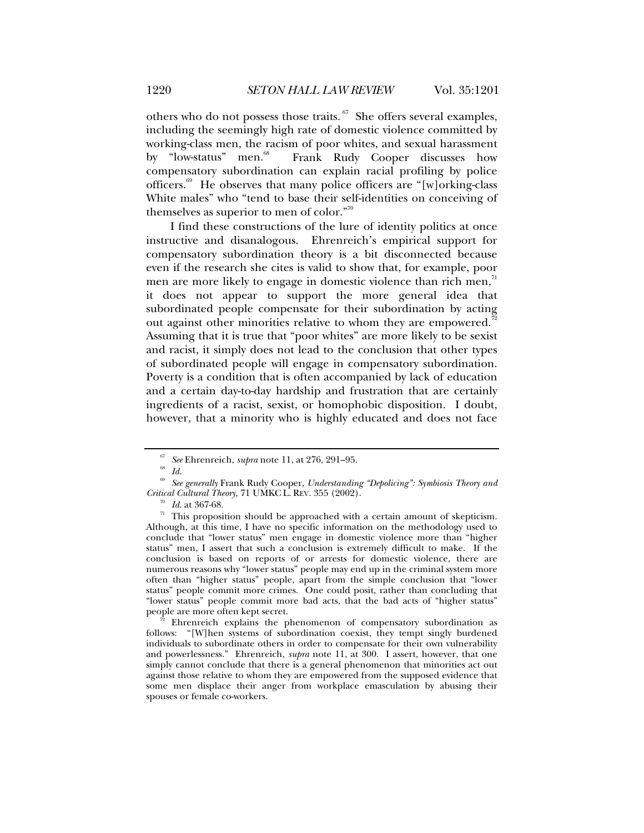others who do not possess those traits.  $\frac{67}{10}$  She offers several examples, including the seemingly high rate of domestic violence committed by working-class men, the racism of poor whites, and sexual harassment by "low-status" men.<sup>68</sup> Frank Rudy Cooper discusses how compensatory subordination can explain racial profiling by police officers.<sup>69</sup> He observes that many police officers are "[w]orking-class White males" who "tend to base their self-identities on conceiving of themselves as superior to men of color. $\mathbb{R}^{70}$ 

I find these constructions of the lure of identity politics at once instructive and disanalogous. Ehrenreich's empirical support for compensatory subordination theory is a bit disconnected because even if the research she cites is valid to show that, for example, poor men are more likely to engage in domestic violence than rich men, $<sup>n</sup>$ </sup> it does not appear to support the more general idea that subordinated people compensate for their subordination by acting out against other minorities relative to whom they are empowered.<sup>72</sup> Assuming that it is true that "poor whites" are more likely to be sexist and racist, it simply does not lead to the conclusion that other types of subordinated people will engage in compensatory subordination. Poverty is a condition that is often accompanied by lack of education and a certain day-to-day hardship and frustration that are certainly ingredients of a racist, sexist, or homophobic disposition. I doubt, however, that a minority who is highly educated and does not face

Ehrenreich explains the phenomenon of compensatory subordination as follows: "[W]hen systems of subordination coexist, they tempt singly burdened individuals to subordinate others in order to compensate for their own vulnerability and powerlessness." Ehrenreich, *supra* note 11, at 300. I assert, however, that one simply cannot conclude that there is a general phenomenon that minorities act out against those relative to whom they are empowered from the supposed evidence that some men displace their anger from workplace emasculation by abusing their spouses or female co-workers.

<sup>67</sup> *See* Ehrenreich, *supra* note 11, at 276, 291–95. 68 *Id.*

<sup>69</sup> *See generally* Frank Rudy Cooper, *Understanding "Depolicing": Symbiosis Theory and* 

<sup>&</sup>lt;sup>70</sup> *Id.* at 367-68. *In Id.* at 367-68. *In Id.* at 367-68. *In* Interval at 367-68. *In* Interval and *I*n Interval and *I*n Interval and *Intervalse Intervalse Intervalse Intervalse Intervalse Intervalse Intervalse Int* Although, at this time, I have no specific information on the methodology used to conclude that "lower status" men engage in domestic violence more than "higher status" men, I assert that such a conclusion is extremely difficult to make. If the conclusion is based on reports of or arrests for domestic violence, there are numerous reasons why "lower status" people may end up in the criminal system more often than "higher status" people, apart from the simple conclusion that "lower status" people commit more crimes. One could posit, rather than concluding that "lower status" people commit more bad acts, that the bad acts of "higher status"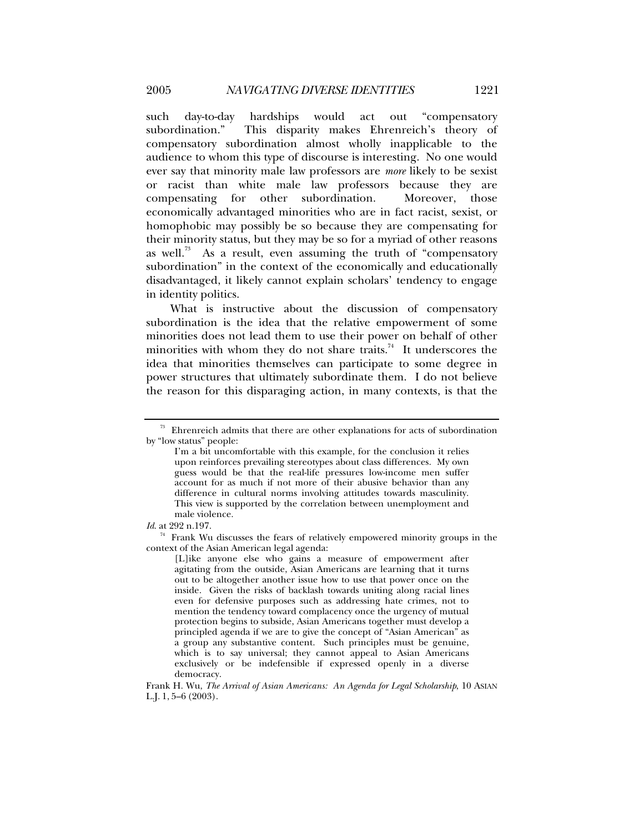such day-to-day hardships would act out "compensatory subordination." This disparity makes Ehrenreich's theory of compensatory subordination almost wholly inapplicable to the audience to whom this type of discourse is interesting. No one would ever say that minority male law professors are *more* likely to be sexist or racist than white male law professors because they are compensating for other subordination. Moreover, those economically advantaged minorities who are in fact racist, sexist, or homophobic may possibly be so because they are compensating for their minority status, but they may be so for a myriad of other reasons as well.<sup>73</sup> As a result, even assuming the truth of "compensatory" subordination" in the context of the economically and educationally disadvantaged, it likely cannot explain scholars' tendency to engage in identity politics.

What is instructive about the discussion of compensatory subordination is the idea that the relative empowerment of some minorities does not lead them to use their power on behalf of other minorities with whom they do not share traits.<sup>74</sup> It underscores the idea that minorities themselves can participate to some degree in power structures that ultimately subordinate them. I do not believe the reason for this disparaging action, in many contexts, is that the

 $73$  Ehrenreich admits that there are other explanations for acts of subordination by "low status" people:

I'm a bit uncomfortable with this example, for the conclusion it relies upon reinforces prevailing stereotypes about class differences. My own guess would be that the real-life pressures low-income men suffer account for as much if not more of their abusive behavior than any difference in cultural norms involving attitudes towards masculinity. This view is supported by the correlation between unemployment and male violence.

*Id*. at 292 n.197.

 $74$  Frank Wu discusses the fears of relatively empowered minority groups in the context of the Asian American legal agenda:

<sup>[</sup>L]ike anyone else who gains a measure of empowerment after agitating from the outside, Asian Americans are learning that it turns out to be altogether another issue how to use that power once on the inside. Given the risks of backlash towards uniting along racial lines even for defensive purposes such as addressing hate crimes, not to mention the tendency toward complacency once the urgency of mutual protection begins to subside, Asian Americans together must develop a principled agenda if we are to give the concept of "Asian American" as a group any substantive content. Such principles must be genuine, which is to say universal; they cannot appeal to Asian Americans exclusively or be indefensible if expressed openly in a diverse democracy.

Frank H. Wu, *The Arrival of Asian Americans: An Agenda for Legal Scholarship*, 10 ASIAN L.J.  $1, 5-6$  (2003).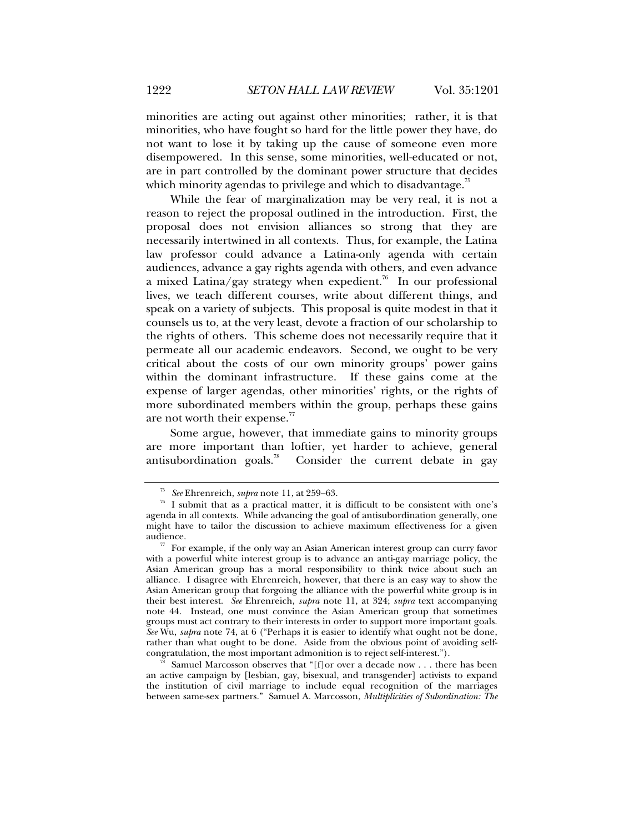minorities are acting out against other minorities; rather, it is that minorities, who have fought so hard for the little power they have, do not want to lose it by taking up the cause of someone even more disempowered. In this sense, some minorities, well-educated or not, are in part controlled by the dominant power structure that decides which minority agendas to privilege and which to disadvantage. $75$ 

While the fear of marginalization may be very real, it is not a reason to reject the proposal outlined in the introduction. First, the proposal does not envision alliances so strong that they are necessarily intertwined in all contexts. Thus, for example, the Latina law professor could advance a Latina-only agenda with certain audiences, advance a gay rights agenda with others, and even advance a mixed Latina/gay strategy when expedient.<sup>76</sup> In our professional lives, we teach different courses, write about different things, and speak on a variety of subjects. This proposal is quite modest in that it counsels us to, at the very least, devote a fraction of our scholarship to the rights of others. This scheme does not necessarily require that it permeate all our academic endeavors. Second, we ought to be very critical about the costs of our own minority groups' power gains within the dominant infrastructure. If these gains come at the expense of larger agendas, other minorities' rights, or the rights of more subordinated members within the group, perhaps these gains are not worth their expense.<sup>77</sup>

Some argue, however, that immediate gains to minority groups are more important than loftier, yet harder to achieve, general antisubordination goals.<sup>78</sup> Consider the current debate in gay

Samuel Marcosson observes that "[f]or over a decade now . . . there has been an active campaign by [lesbian, gay, bisexual, and transgender] activists to expand the institution of civil marriage to include equal recognition of the marriages between same-sex partners." Samuel A. Marcosson, *Multiplicities of Subordination: The* 

<sup>&</sup>lt;sup>75</sup> See Ehrenreich, *supra* note 11, at 259–63.<br><sup>76</sup> I submit that as a practical matter, it is difficult to be consistent with one's agenda in all contexts. While advancing the goal of antisubordination generally, one might have to tailor the discussion to achieve maximum effectiveness for a given

 $\frac{77}{10}$  For example, if the only way an Asian American interest group can curry favor with a powerful white interest group is to advance an anti-gay marriage policy, the Asian American group has a moral responsibility to think twice about such an alliance. I disagree with Ehrenreich, however, that there is an easy way to show the Asian American group that forgoing the alliance with the powerful white group is in their best interest. *See* Ehrenreich, *supra* note 11, at 324; *supra* text accompanying note 44. Instead, one must convince the Asian American group that sometimes groups must act contrary to their interests in order to support more important goals. *See* Wu, *supra* note 74, at 6 ("Perhaps it is easier to identify what ought not be done, rather than what ought to be done. Aside from the obvious point of avoiding self-congratulation, the most important admonition is to reject self-interest.").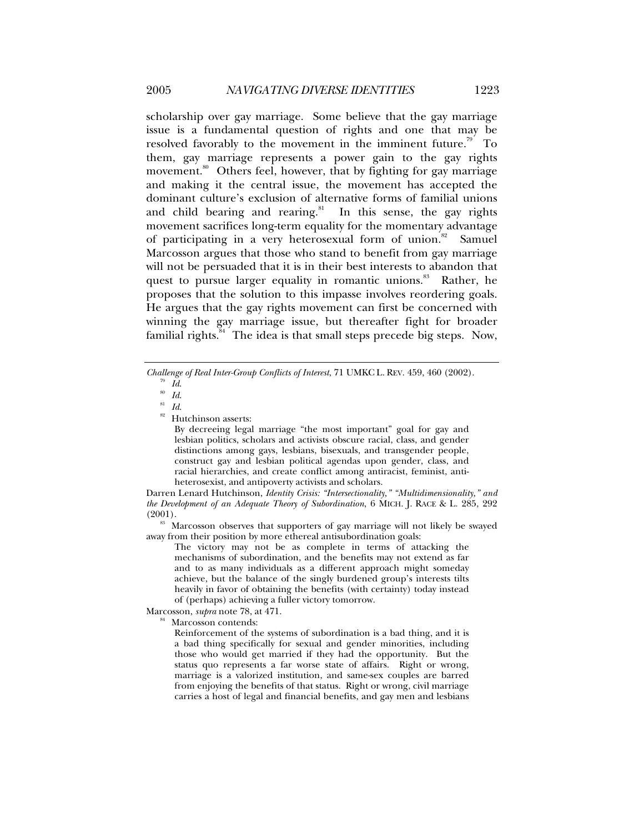scholarship over gay marriage. Some believe that the gay marriage issue is a fundamental question of rights and one that may be resolved favorably to the movement in the imminent future.<sup>79</sup> To them, gay marriage represents a power gain to the gay rights movement.<sup>80</sup> Others feel, however, that by fighting for gay marriage and making it the central issue, the movement has accepted the dominant culture's exclusion of alternative forms of familial unions and child bearing and rearing.<sup>81</sup> In this sense, the gay rights movement sacrifices long-term equality for the momentary advantage of participating in a very heterosexual form of union.<sup>82</sup> Samuel Marcosson argues that those who stand to benefit from gay marriage will not be persuaded that it is in their best interests to abandon that quest to pursue larger equality in romantic unions.<sup>83</sup> Rather, he proposes that the solution to this impasse involves reordering goals. He argues that the gay rights movement can first be concerned with winning the gay marriage issue, but thereafter fight for broader familial rights. $84$  The idea is that small steps precede big steps. Now,

*Challenge of Real Inter-Group Conflicts of Interest*, 71 UMKC L. REV. 459, 460 (2002).<br><sup>79</sup> *Id.* 81<br><sup>81</sup> *Id.* 82 Hutchinson asserts:

By decreeing legal marriage "the most important" goal for gay and lesbian politics, scholars and activists obscure racial, class, and gender distinctions among gays, lesbians, bisexuals, and transgender people, construct gay and lesbian political agendas upon gender, class, and racial hierarchies, and create conflict among antiracist, feminist, antiheterosexist, and antipoverty activists and scholars.

Darren Lenard Hutchinson, *Identity Crisis: "Intersectionality," "Multidimensionality," and the Development of an Adequate Theory of Subordination*, 6 MICH. J. RACE & L. 285, 292

<sup>83</sup> Marcosson observes that supporters of gay marriage will not likely be swayed away from their position by more ethereal antisubordination goals:

The victory may not be as complete in terms of attacking the mechanisms of subordination, and the benefits may not extend as far and to as many individuals as a different approach might someday achieve, but the balance of the singly burdened group's interests tilts heavily in favor of obtaining the benefits (with certainty) today instead of (perhaps) achieving a fuller victory tomorrow.

Marcosson, *supra* note 78, at 471.<br><sup>84</sup> Marcosson contends:

Reinforcement of the systems of subordination is a bad thing, and it is a bad thing specifically for sexual and gender minorities, including those who would get married if they had the opportunity. But the status quo represents a far worse state of affairs. Right or wrong, marriage is a valorized institution, and same-sex couples are barred from enjoying the benefits of that status. Right or wrong, civil marriage carries a host of legal and financial benefits, and gay men and lesbians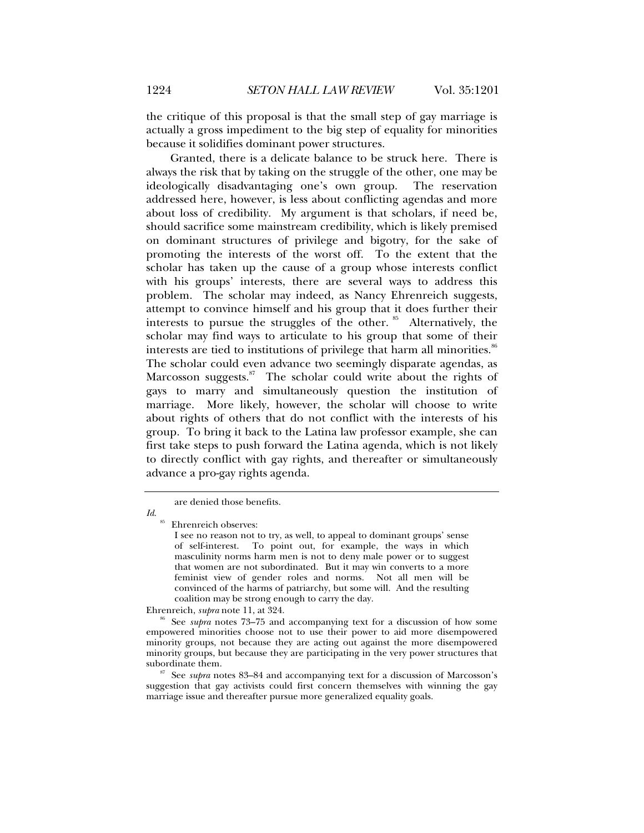the critique of this proposal is that the small step of gay marriage is actually a gross impediment to the big step of equality for minorities because it solidifies dominant power structures.

Granted, there is a delicate balance to be struck here. There is always the risk that by taking on the struggle of the other, one may be ideologically disadvantaging one's own group. The reservation addressed here, however, is less about conflicting agendas and more about loss of credibility. My argument is that scholars, if need be, should sacrifice some mainstream credibility, which is likely premised on dominant structures of privilege and bigotry, for the sake of promoting the interests of the worst off. To the extent that the scholar has taken up the cause of a group whose interests conflict with his groups' interests, there are several ways to address this problem. The scholar may indeed, as Nancy Ehrenreich suggests, attempt to convince himself and his group that it does further their interests to pursue the struggles of the other.<sup>85</sup> Alternatively, the scholar may find ways to articulate to his group that some of their interests are tied to institutions of privilege that harm all minorities.<sup>86</sup> The scholar could even advance two seemingly disparate agendas, as Marcosson suggests.<sup>87</sup> The scholar could write about the rights of gays to marry and simultaneously question the institution of marriage. More likely, however, the scholar will choose to write about rights of others that do not conflict with the interests of his group. To bring it back to the Latina law professor example, she can first take steps to push forward the Latina agenda, which is not likely to directly conflict with gay rights, and thereafter or simultaneously advance a pro-gay rights agenda.

*Id*.

Ehrenreich observes:

Ehrenreich, *supra* note 11, at 324.<br><sup>86</sup> See *supra* notes 73–75 and accompanying text for a discussion of how some empowered minorities choose not to use their power to aid more disempowered minority groups, not because they are acting out against the more disempowered minority groups, but because they are participating in the very power structures that

are denied those benefits.

I see no reason not to try, as well, to appeal to dominant groups' sense of self-interest. To point out, for example, the ways in which masculinity norms harm men is not to deny male power or to suggest that women are not subordinated. But it may win converts to a more feminist view of gender roles and norms. Not all men will be convinced of the harms of patriarchy, but some will. And the resulting coalition may be strong enough to carry the day.

 $\frac{87}{10}$  See *supra* notes 83–84 and accompanying text for a discussion of Marcosson's suggestion that gay activists could first concern themselves with winning the gay marriage issue and thereafter pursue more generalized equality goals.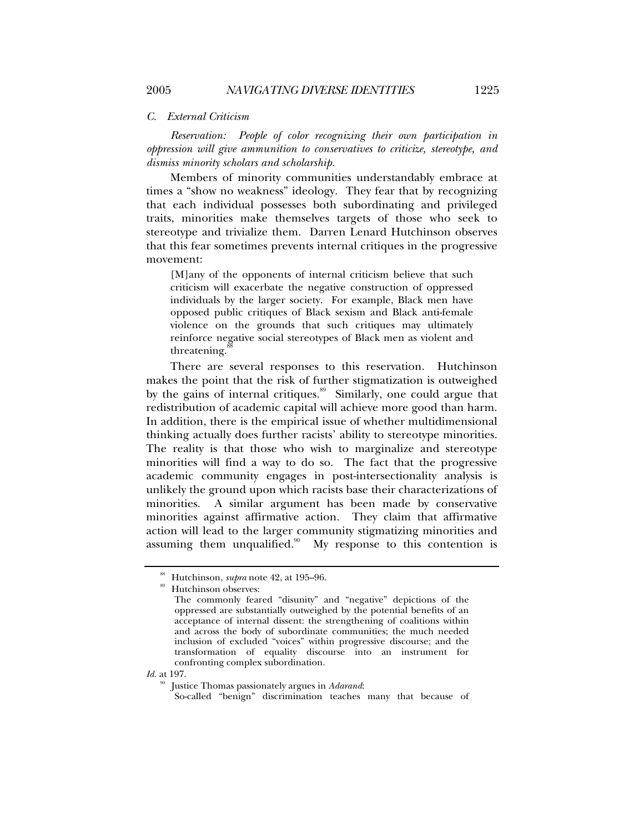# *C. External Criticism*

*Reservation: People of color recognizing their own participation in oppression will give ammunition to conservatives to criticize, stereotype, and dismiss minority scholars and scholarship.*

Members of minority communities understandably embrace at times a "show no weakness" ideology. They fear that by recognizing that each individual possesses both subordinating and privileged traits, minorities make themselves targets of those who seek to stereotype and trivialize them. Darren Lenard Hutchinson observes that this fear sometimes prevents internal critiques in the progressive movement:

[M]any of the opponents of internal criticism believe that such criticism will exacerbate the negative construction of oppressed individuals by the larger society. For example, Black men have opposed public critiques of Black sexism and Black anti-female violence on the grounds that such critiques may ultimately reinforce negative social stereotypes of Black men as violent and threatening.

There are several responses to this reservation. Hutchinson makes the point that the risk of further stigmatization is outweighed by the gains of internal critiques.<sup>89</sup> Similarly, one could argue that redistribution of academic capital will achieve more good than harm. In addition, there is the empirical issue of whether multidimensional thinking actually does further racists' ability to stereotype minorities. The reality is that those who wish to marginalize and stereotype minorities will find a way to do so. The fact that the progressive academic community engages in post-intersectionality analysis is unlikely the ground upon which racists base their characterizations of minorities. A similar argument has been made by conservative minorities against affirmative action. They claim that affirmative action will lead to the larger community stigmatizing minorities and assuming them unqualified. $90$  My response to this contention is

*Id.* at 197.

<sup>&</sup>lt;sup>88</sup> Hutchinson, *supra* note 42, at 195–96.<br><sup>89</sup> Hutchinson observes:

The commonly feared "disunity" and "negative" depictions of the oppressed are substantially outweighed by the potential benefits of an acceptance of internal dissent: the strengthening of coalitions within and across the body of subordinate communities; the much needed inclusion of excluded "voices" within progressive discourse; and the transformation of equality discourse into an instrument for confronting complex subordination.

<sup>90</sup> Justice Thomas passionately argues in *Adarand*: So-called "benign" discrimination teaches many that because of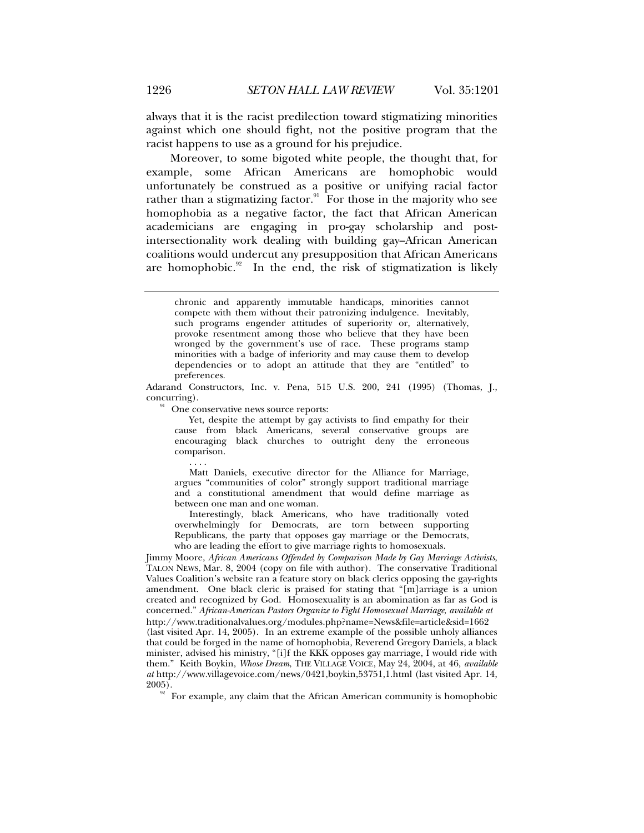always that it is the racist predilection toward stigmatizing minorities against which one should fight, not the positive program that the racist happens to use as a ground for his prejudice.

Moreover, to some bigoted white people, the thought that, for example, some African Americans are homophobic would unfortunately be construed as a positive or unifying racial factor rather than a stigmatizing factor.<sup>91</sup> For those in the majority who see homophobia as a negative factor, the fact that African American academicians are engaging in pro-gay scholarship and postintersectionality work dealing with building gay–African American coalitions would undercut any presupposition that African Americans are homophobic. $92$  In the end, the risk of stigmatization is likely

Adarand Constructors, Inc. v. Pena, 515 U.S. 200, 241 (1995) (Thomas, J., concurring).

<sup>91</sup> One conservative news source reports:

. . . .

Yet, despite the attempt by gay activists to find empathy for their cause from black Americans, several conservative groups are encouraging black churches to outright deny the erroneous comparison.

 Matt Daniels, executive director for the Alliance for Marriage, argues "communities of color" strongly support traditional marriage and a constitutional amendment that would define marriage as between one man and one woman.

 Interestingly, black Americans, who have traditionally voted overwhelmingly for Democrats, are torn between supporting Republicans, the party that opposes gay marriage or the Democrats, who are leading the effort to give marriage rights to homosexuals.

Jimmy Moore, *African Americans Offended by Comparison Made by Gay Marriage Activists*, TALON NEWS, Mar. 8, 2004 (copy on file with author). The conservative Traditional Values Coalition's website ran a feature story on black clerics opposing the gay-rights amendment. One black cleric is praised for stating that "[m]arriage is a union created and recognized by God. Homosexuality is an abomination as far as God is concerned." *African-American Pastors Organize to Fight Homosexual Marriage*, *available at* http://www.traditionalvalues.org/modules.php?name=News&file=article&sid=1662 (last visited Apr. 14, 2005). In an extreme example of the possible unholy alliances that could be forged in the name of homophobia, Reverend Gregory Daniels, a black minister, advised his ministry, "[i]f the KKK opposes gay marriage, I would ride with them." Keith Boykin, *Whose Dream*, THE VILLAGE VOICE, May 24, 2004, at 46, *available at* http://www.villagevoice.com/news/0421,boykin,53751,1.html (last visited Apr. 14, 2005).

 $92$  For example, any claim that the African American community is homophobic

chronic and apparently immutable handicaps, minorities cannot compete with them without their patronizing indulgence. Inevitably, such programs engender attitudes of superiority or, alternatively, provoke resentment among those who believe that they have been wronged by the government's use of race. These programs stamp minorities with a badge of inferiority and may cause them to develop dependencies or to adopt an attitude that they are "entitled" to preferences.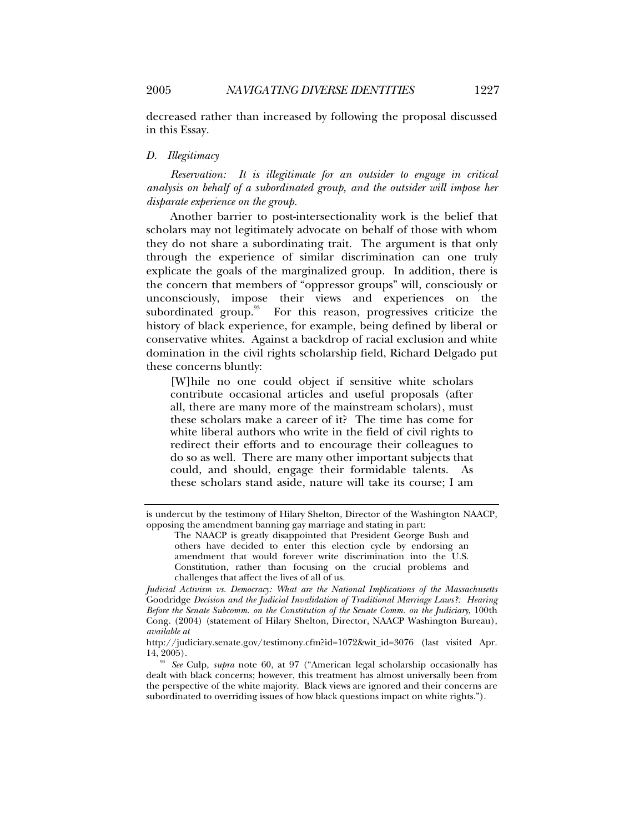decreased rather than increased by following the proposal discussed in this Essay.

# *D. Illegitimacy*

*Reservation: It is illegitimate for an outsider to engage in critical analysis on behalf of a subordinated group, and the outsider will impose her disparate experience on the group.*

Another barrier to post-intersectionality work is the belief that scholars may not legitimately advocate on behalf of those with whom they do not share a subordinating trait. The argument is that only through the experience of similar discrimination can one truly explicate the goals of the marginalized group. In addition, there is the concern that members of "oppressor groups" will, consciously or unconsciously, impose their views and experiences on the subordinated group.<sup>93</sup> For this reason, progressives criticize the history of black experience, for example, being defined by liberal or conservative whites. Against a backdrop of racial exclusion and white domination in the civil rights scholarship field, Richard Delgado put these concerns bluntly:

[W]hile no one could object if sensitive white scholars contribute occasional articles and useful proposals (after all, there are many more of the mainstream scholars), must these scholars make a career of it? The time has come for white liberal authors who write in the field of civil rights to redirect their efforts and to encourage their colleagues to do so as well. There are many other important subjects that could, and should, engage their formidable talents. As these scholars stand aside, nature will take its course; I am

is undercut by the testimony of Hilary Shelton, Director of the Washington NAACP, opposing the amendment banning gay marriage and stating in part:

The NAACP is greatly disappointed that President George Bush and others have decided to enter this election cycle by endorsing an amendment that would forever write discrimination into the U.S. Constitution, rather than focusing on the crucial problems and challenges that affect the lives of all of us.

*Judicial Activism vs. Democracy: What are the National Implications of the Massachusetts*  Goodridge *Decision and the Judicial Invalidation of Traditional Marriage Laws?: Hearing Before the Senate Subcomm. on the Constitution of the Senate Comm. on the Judiciary*, 100th Cong. (2004) (statement of Hilary Shelton, Director, NAACP Washington Bureau), *available at*

http://judiciary.senate.gov/testimony.cfm?id=1072&wit\_id=3076 (last visited Apr. 14, 2005).

<sup>&</sup>lt;sup>93</sup> See Culp, *supra* note 60, at 97 ("American legal scholarship occasionally has dealt with black concerns; however, this treatment has almost universally been from the perspective of the white majority. Black views are ignored and their concerns are subordinated to overriding issues of how black questions impact on white rights.").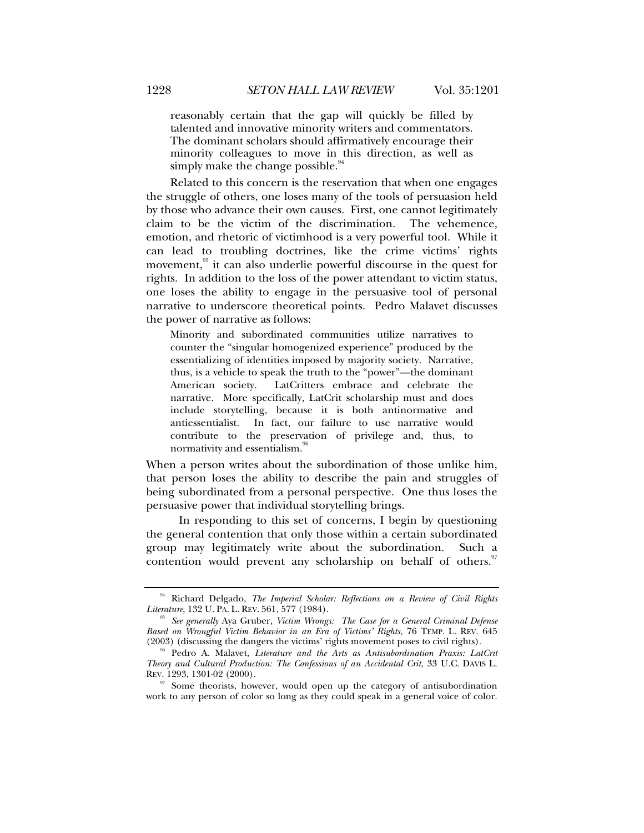reasonably certain that the gap will quickly be filled by talented and innovative minority writers and commentators. The dominant scholars should affirmatively encourage their minority colleagues to move in this direction, as well as simply make the change possible.

Related to this concern is the reservation that when one engages the struggle of others, one loses many of the tools of persuasion held by those who advance their own causes. First, one cannot legitimately claim to be the victim of the discrimination. The vehemence, emotion, and rhetoric of victimhood is a very powerful tool. While it can lead to troubling doctrines, like the crime victims' rights movement, $95$  it can also underlie powerful discourse in the quest for rights. In addition to the loss of the power attendant to victim status, one loses the ability to engage in the persuasive tool of personal narrative to underscore theoretical points. Pedro Malavet discusses the power of narrative as follows:

Minority and subordinated communities utilize narratives to counter the "singular homogenized experience" produced by the essentializing of identities imposed by majority society. Narrative, thus, is a vehicle to speak the truth to the "power"—the dominant American society. LatCritters embrace and celebrate the narrative. More specifically, LatCrit scholarship must and does include storytelling, because it is both antinormative and antiessentialist. In fact, our failure to use narrative would contribute to the preservation of privilege and, thus, to normativity and essentialism.<sup>96</sup>

When a person writes about the subordination of those unlike him, that person loses the ability to describe the pain and struggles of being subordinated from a personal perspective. One thus loses the persuasive power that individual storytelling brings.

 In responding to this set of concerns, I begin by questioning the general contention that only those within a certain subordinated group may legitimately write about the subordination. Such a contention would prevent any scholarship on behalf of others.<sup>97</sup>

<sup>&</sup>lt;sup>94</sup> Richard Delgado, *The Imperial Scholar: Reflections on a Review of Civil Rights Literature*, 132 U. PA. L. REV. 561, 577 (1984).

<sup>&</sup>lt;sup>95</sup> See generally Aya Gruber, *Victim Wrongs: The Case for a General Criminal Defense Based on Wrongful Victim Behavior in an Era of Victims' Rights, 76 TEMP. L. REV. 645* (2003) (discussing the dangers the victims' rights movement poses to civil rights).

<sup>&</sup>lt;sup>96</sup> Pedro A. Malavet, *Literature and the Arts as Antisubordination Praxis: LatCrit Theory and Cultural Production: The Confessions of an Accidental Crit*, 33 U.C. DAVIS L. REV. 1293, 1301-02 (2000).

 $97$  Some theorists, however, would open up the category of antisubordination work to any person of color so long as they could speak in a general voice of color.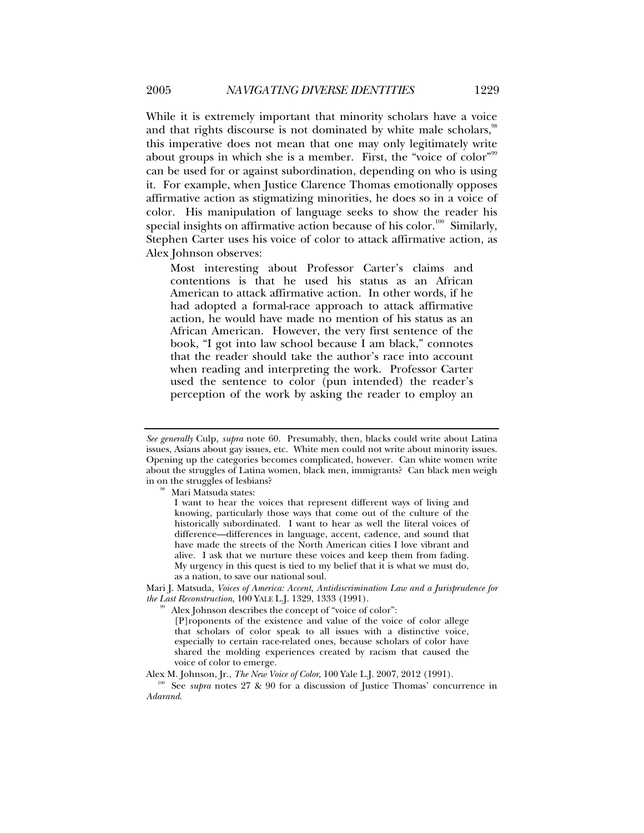While it is extremely important that minority scholars have a voice and that rights discourse is not dominated by white male scholars,<sup>98</sup> this imperative does not mean that one may only legitimately write about groups in which she is a member. First, the "voice of color"<sup>99</sup> can be used for or against subordination, depending on who is using it. For example, when Justice Clarence Thomas emotionally opposes affirmative action as stigmatizing minorities, he does so in a voice of color. His manipulation of language seeks to show the reader his special insights on affirmative action because of his color.<sup>100</sup> Similarly, Stephen Carter uses his voice of color to attack affirmative action, as Alex Johnson observes:

Most interesting about Professor Carter's claims and contentions is that he used his status as an African American to attack affirmative action. In other words, if he had adopted a formal-race approach to attack affirmative action, he would have made no mention of his status as an African American. However, the very first sentence of the book, "I got into law school because I am black," connotes that the reader should take the author's race into account when reading and interpreting the work. Professor Carter used the sentence to color (pun intended) the reader's perception of the work by asking the reader to employ an

I want to hear the voices that represent different ways of living and knowing, particularly those ways that come out of the culture of the historically subordinated. I want to hear as well the literal voices of difference—differences in language, accent, cadence, and sound that have made the streets of the North American cities I love vibrant and alive. I ask that we nurture these voices and keep them from fading. My urgency in this quest is tied to my belief that it is what we must do, as a nation, to save our national soul.

Mari J. Matsuda, *Voices of America: Accent, Antidiscrimination Law and a Jurisprudence for* 

<sup>39</sup> Alex Johnson describes the concept of "voice of color":

[P]roponents of the existence and value of the voice of color allege that scholars of color speak to all issues with a distinctive voice, especially to certain race-related ones, because scholars of color have shared the molding experiences created by racism that caused the voice of color to emerge.

Alex M. Johnson, Jr., *The New Voice of Color*, 100 Yale L.J. 2007, 2012 (1991).<br><sup>100</sup> See *supra* notes 27 & 90 for a discussion of Justice Thomas' concurrence in *Adarand*.

*See generally* Culp*, supra* note 60. Presumably, then, blacks could write about Latina issues, Asians about gay issues, etc. White men could not write about minority issues. Opening up the categories becomes complicated, however. Can white women write about the struggles of Latina women, black men, immigrants? Can black men weigh in on the struggles of lesbians? 98 Mari Matsuda states: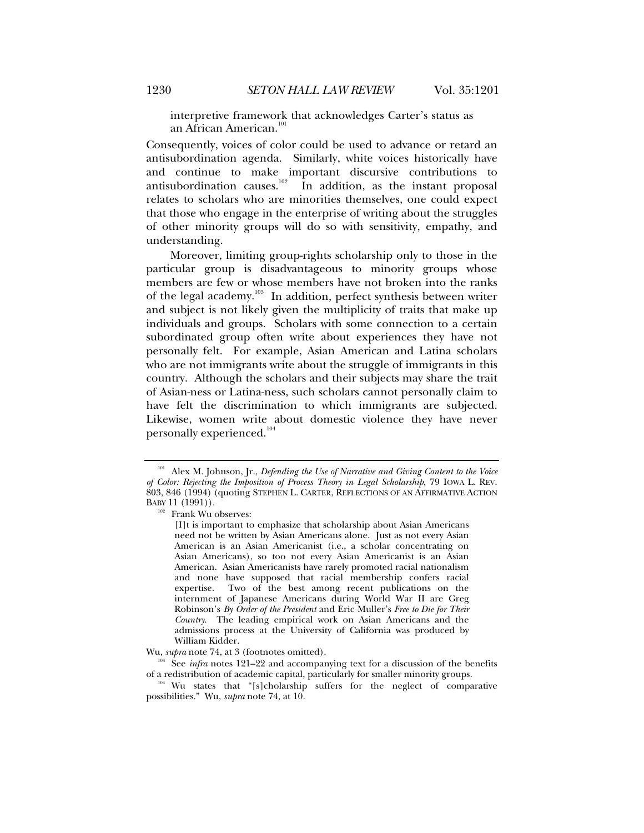interpretive framework that acknowledges Carter's status as an African American.<sup>101</sup>

Consequently, voices of color could be used to advance or retard an antisubordination agenda. Similarly, white voices historically have and continue to make important discursive contributions to antisubordination causes.<sup>102</sup> In addition, as the instant proposal relates to scholars who are minorities themselves, one could expect that those who engage in the enterprise of writing about the struggles of other minority groups will do so with sensitivity, empathy, and understanding.

Moreover, limiting group-rights scholarship only to those in the particular group is disadvantageous to minority groups whose members are few or whose members have not broken into the ranks of the legal academy.<sup>103</sup> In addition, perfect synthesis between writer and subject is not likely given the multiplicity of traits that make up individuals and groups. Scholars with some connection to a certain subordinated group often write about experiences they have not personally felt. For example, Asian American and Latina scholars who are not immigrants write about the struggle of immigrants in this country. Although the scholars and their subjects may share the trait of Asian-ness or Latina-ness, such scholars cannot personally claim to have felt the discrimination to which immigrants are subjected. Likewise, women write about domestic violence they have never personally experienced.<sup>104</sup>

<sup>&</sup>lt;sup>101</sup> Alex M. Johnson, Jr., *Defending the Use of Narrative and Giving Content to the Voice of Color: Rejecting the Imposition of Process Theory in Legal Scholarship*, 79 IOWA L. REV. 803, 846 (1994) (quoting STEPHEN L. CARTER, REFLECTIONS OF AN AFFIRMATIVE ACTION

 $102$  Frank Wu observes:

<sup>[</sup>I]t is important to emphasize that scholarship about Asian Americans need not be written by Asian Americans alone. Just as not every Asian American is an Asian Americanist (i.e., a scholar concentrating on Asian Americans), so too not every Asian Americanist is an Asian American. Asian Americanists have rarely promoted racial nationalism and none have supposed that racial membership confers racial expertise. Two of the best among recent publications on the internment of Japanese Americans during World War II are Greg Robinson's *By Order of the President* and Eric Muller's *Free to Die for Their Country*. The leading empirical work on Asian Americans and the admissions process at the University of California was produced by William Kidder.

Wu, *supra* note 74, at 3 (footnotes omitted).<br><sup>103</sup> See *infra* notes 121–22 and accompanying text for a discussion of the benefits of a redistribution of academic capital, particularly for smaller minority groups. 104 Wu states that "[s]cholarship suffers for the neglect of comparative

possibilities." Wu, *supra* note 74, at 10.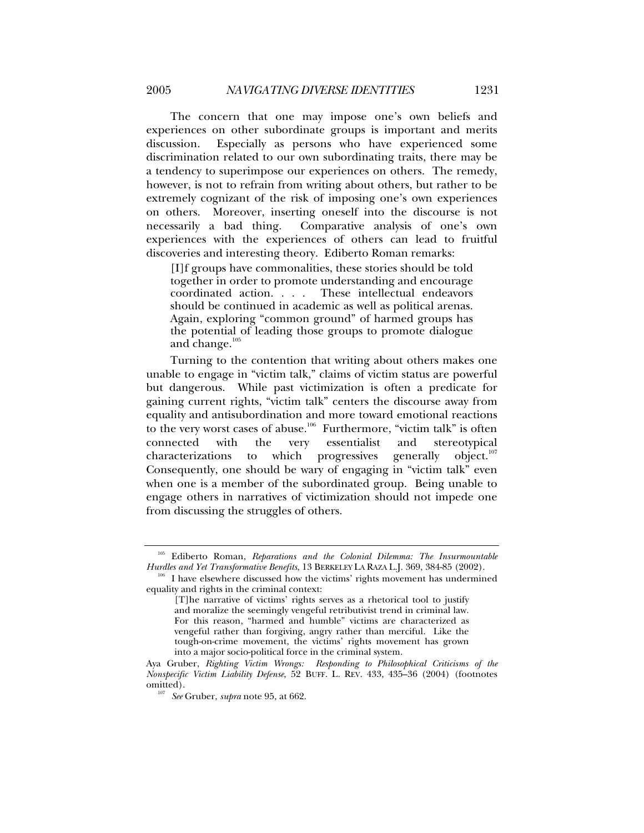The concern that one may impose one's own beliefs and experiences on other subordinate groups is important and merits discussion. Especially as persons who have experienced some discrimination related to our own subordinating traits, there may be a tendency to superimpose our experiences on others. The remedy, however, is not to refrain from writing about others, but rather to be extremely cognizant of the risk of imposing one's own experiences on others. Moreover, inserting oneself into the discourse is not necessarily a bad thing. Comparative analysis of one's own experiences with the experiences of others can lead to fruitful discoveries and interesting theory. Ediberto Roman remarks:

[I]f groups have commonalities, these stories should be told together in order to promote understanding and encourage coordinated action. . . . These intellectual endeavors should be continued in academic as well as political arenas. Again, exploring "common ground" of harmed groups has the potential of leading those groups to promote dialogue and change.<sup>105</sup>

Turning to the contention that writing about others makes one unable to engage in "victim talk," claims of victim status are powerful but dangerous. While past victimization is often a predicate for gaining current rights, "victim talk" centers the discourse away from equality and antisubordination and more toward emotional reactions to the very worst cases of abuse.<sup>106</sup> Furthermore, "victim talk" is often connected with the very essentialist and stereotypical characterizations to which progressives generally object. $107$ Consequently, one should be wary of engaging in "victim talk" even when one is a member of the subordinated group. Being unable to engage others in narratives of victimization should not impede one from discussing the struggles of others.

<sup>&</sup>lt;sup>105</sup> Ediberto Roman, *Reparations and the Colonial Dilemma: The Insurmountable Hurdles and Yet Transformative Benefits, 13 BERKELEY LA RAZA L.J. 369, 384-85 (2002).* 

 $h_0$  I have elsewhere discussed how the victims' rights movement has undermined equality and rights in the criminal context:

<sup>[</sup>T]he narrative of victims' rights serves as a rhetorical tool to justify and moralize the seemingly vengeful retributivist trend in criminal law. For this reason, "harmed and humble" victims are characterized as vengeful rather than forgiving, angry rather than merciful. Like the tough-on-crime movement, the victims' rights movement has grown into a major socio-political force in the criminal system.

Aya Gruber, *Righting Victim Wrongs: Responding to Philosophical Criticisms of the Nonspecific Victim Liability Defense*, 52 BUFF. L. REV. 433, 435–36 (2004) (footnotes omitted). 107 *See* Gruber, *supra* note 95, at 662.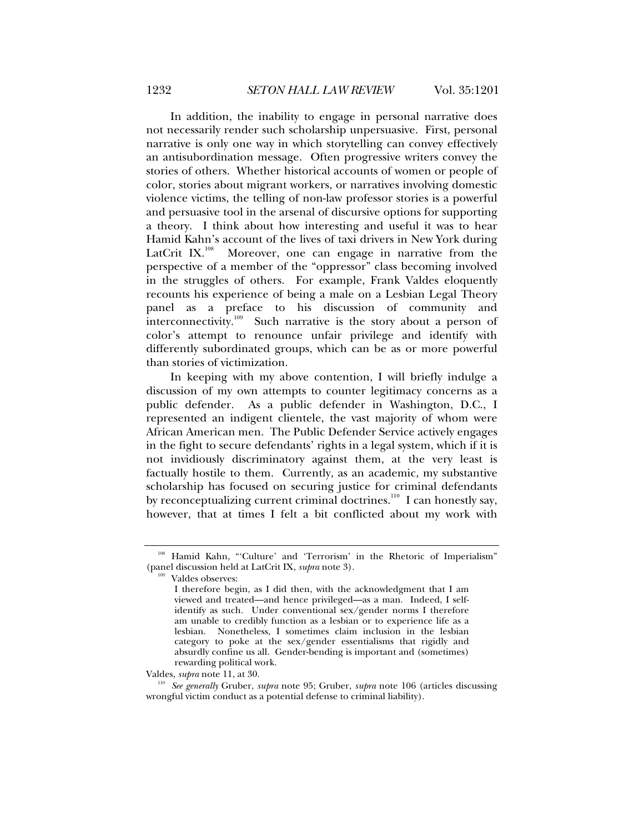In addition, the inability to engage in personal narrative does not necessarily render such scholarship unpersuasive. First, personal narrative is only one way in which storytelling can convey effectively an antisubordination message. Often progressive writers convey the stories of others. Whether historical accounts of women or people of color, stories about migrant workers, or narratives involving domestic violence victims, the telling of non-law professor stories is a powerful and persuasive tool in the arsenal of discursive options for supporting a theory. I think about how interesting and useful it was to hear Hamid Kahn's account of the lives of taxi drivers in New York during LatCrit IX.<sup>108</sup> Moreover, one can engage in narrative from the perspective of a member of the "oppressor" class becoming involved in the struggles of others. For example, Frank Valdes eloquently recounts his experience of being a male on a Lesbian Legal Theory panel as a preface to his discussion of community and interconnectivity.<sup>109</sup> Such narrative is the story about a person of color's attempt to renounce unfair privilege and identify with differently subordinated groups, which can be as or more powerful than stories of victimization.

In keeping with my above contention, I will briefly indulge a discussion of my own attempts to counter legitimacy concerns as a public defender. As a public defender in Washington, D.C., I represented an indigent clientele, the vast majority of whom were African American men. The Public Defender Service actively engages in the fight to secure defendants' rights in a legal system, which if it is not invidiously discriminatory against them, at the very least is factually hostile to them. Currently, as an academic, my substantive scholarship has focused on securing justice for criminal defendants by reconceptualizing current criminal doctrines.<sup>110</sup> I can honestly say, however, that at times I felt a bit conflicted about my work with

<sup>&</sup>lt;sup>108</sup> Hamid Kahn, "'Culture' and 'Terrorism' in the Rhetoric of Imperialism" (panel discussion held at LatCrit IX, *supra* note 3). 109 Valdes observes:

I therefore begin, as I did then, with the acknowledgment that I am viewed and treated—and hence privileged—as a man. Indeed, I selfidentify as such. Under conventional sex/gender norms I therefore am unable to credibly function as a lesbian or to experience life as a lesbian. Nonetheless, I sometimes claim inclusion in the lesbian category to poke at the sex/gender essentialisms that rigidly and absurdly confine us all. Gender-bending is important and (sometimes) rewarding political work.

Valdes, *supra* note 11, at 30. 110 *See generally* Gruber, *supra* note 95; Gruber, *supra* note 106 (articles discussing wrongful victim conduct as a potential defense to criminal liability).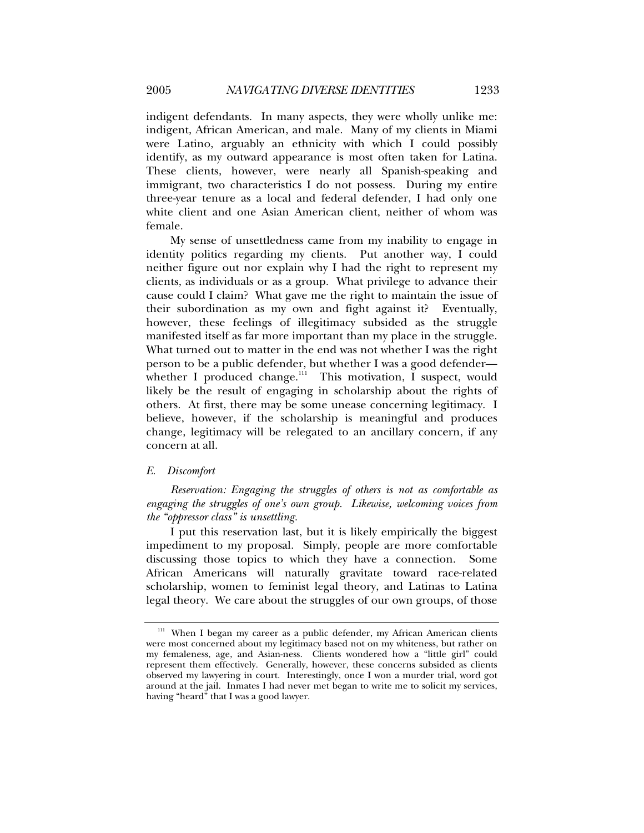indigent defendants. In many aspects, they were wholly unlike me: indigent, African American, and male. Many of my clients in Miami were Latino, arguably an ethnicity with which I could possibly identify, as my outward appearance is most often taken for Latina. These clients, however, were nearly all Spanish-speaking and immigrant, two characteristics I do not possess. During my entire three-year tenure as a local and federal defender, I had only one white client and one Asian American client, neither of whom was female.

My sense of unsettledness came from my inability to engage in identity politics regarding my clients. Put another way, I could neither figure out nor explain why I had the right to represent my clients, as individuals or as a group. What privilege to advance their cause could I claim? What gave me the right to maintain the issue of their subordination as my own and fight against it? Eventually, however, these feelings of illegitimacy subsided as the struggle manifested itself as far more important than my place in the struggle. What turned out to matter in the end was not whether I was the right person to be a public defender, but whether I was a good defender whether I produced change.<sup>111</sup> This motivation, I suspect, would likely be the result of engaging in scholarship about the rights of others. At first, there may be some unease concerning legitimacy. I believe, however, if the scholarship is meaningful and produces change, legitimacy will be relegated to an ancillary concern, if any concern at all.

# *E. Discomfort*

*Reservation: Engaging the struggles of others is not as comfortable as engaging the struggles of one's own group. Likewise, welcoming voices from the "oppressor class" is unsettling.*

 I put this reservation last, but it is likely empirically the biggest impediment to my proposal. Simply, people are more comfortable discussing those topics to which they have a connection. Some African Americans will naturally gravitate toward race-related scholarship, women to feminist legal theory, and Latinas to Latina legal theory. We care about the struggles of our own groups, of those

<sup>&</sup>lt;sup>111</sup> When I began my career as a public defender, my African American clients were most concerned about my legitimacy based not on my whiteness, but rather on my femaleness, age, and Asian-ness. Clients wondered how a "little girl" could represent them effectively. Generally, however, these concerns subsided as clients observed my lawyering in court. Interestingly, once I won a murder trial, word got around at the jail. Inmates I had never met began to write me to solicit my services, having "heard" that I was a good lawyer.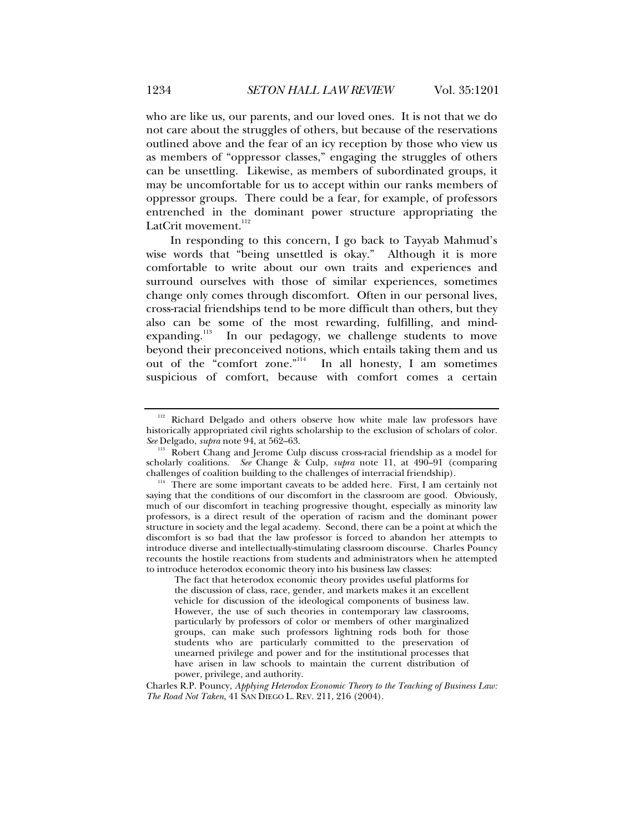who are like us, our parents, and our loved ones. It is not that we do not care about the struggles of others, but because of the reservations outlined above and the fear of an icy reception by those who view us as members of "oppressor classes," engaging the struggles of others can be unsettling. Likewise, as members of subordinated groups, it may be uncomfortable for us to accept within our ranks members of oppressor groups. There could be a fear, for example, of professors entrenched in the dominant power structure appropriating the LatCrit movement.<sup>112</sup>

In responding to this concern, I go back to Tayyab Mahmud's wise words that "being unsettled is okay." Although it is more comfortable to write about our own traits and experiences and surround ourselves with those of similar experiences, sometimes change only comes through discomfort. Often in our personal lives, cross-racial friendships tend to be more difficult than others, but they also can be some of the most rewarding, fulfilling, and mindexpanding.<sup>113</sup> In our pedagogy, we challenge students to move beyond their preconceived notions, which entails taking them and us out of the "comfort zone."<sup>114</sup> In all honesty, I am sometimes suspicious of comfort, because with comfort comes a certain

The fact that heterodox economic theory provides useful platforms for the discussion of class, race, gender, and markets makes it an excellent vehicle for discussion of the ideological components of business law. However, the use of such theories in contemporary law classrooms, particularly by professors of color or members of other marginalized groups, can make such professors lightning rods both for those students who are particularly committed to the preservation of unearned privilege and power and for the institutional processes that have arisen in law schools to maintain the current distribution of power, privilege, and authority.

Charles R.P. Pouncy, *Applying Heterodox Economic Theory to the Teaching of Business Law: The Road Not Taken*, 41 SAN DIEGO L. REV. 211, 216 (2004).

<sup>&</sup>lt;sup>112</sup> Richard Delgado and others observe how white male law professors have historically appropriated civil rights scholarship to the exclusion of scholars of color. *See* Delgado, *supra* note 94, at 562–63. 113 Robert Chang and Jerome Culp discuss cross-racial friendship as a model for

scholarly coalitions. *See* Change & Culp, *supra* note 11, at 490–91 (comparing challenges of coalition building to the challenges of interracial friendship).

 $114$  There are some important caveats to be added here. First, I am certainly not saying that the conditions of our discomfort in the classroom are good. Obviously, much of our discomfort in teaching progressive thought, especially as minority law professors, is a direct result of the operation of racism and the dominant power structure in society and the legal academy. Second, there can be a point at which the discomfort is so bad that the law professor is forced to abandon her attempts to introduce diverse and intellectually-stimulating classroom discourse. Charles Pouncy recounts the hostile reactions from students and administrators when he attempted to introduce heterodox economic theory into his business law classes: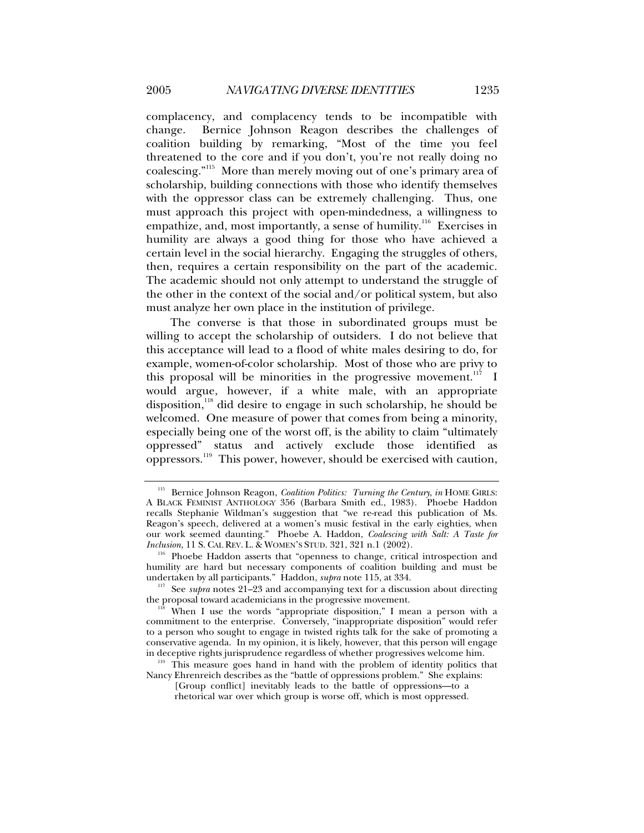complacency, and complacency tends to be incompatible with change. Bernice Johnson Reagon describes the challenges of coalition building by remarking, "Most of the time you feel threatened to the core and if you don't, you're not really doing no coalescing."115 More than merely moving out of one's primary area of scholarship, building connections with those who identify themselves with the oppressor class can be extremely challenging. Thus, one must approach this project with open-mindedness, a willingness to empathize, and, most importantly, a sense of humility.<sup>116</sup> Exercises in humility are always a good thing for those who have achieved a certain level in the social hierarchy. Engaging the struggles of others, then, requires a certain responsibility on the part of the academic. The academic should not only attempt to understand the struggle of the other in the context of the social and/or political system, but also must analyze her own place in the institution of privilege.

The converse is that those in subordinated groups must be willing to accept the scholarship of outsiders. I do not believe that this acceptance will lead to a flood of white males desiring to do, for example, women-of-color scholarship. Most of those who are privy to this proposal will be minorities in the progressive movement.<sup>117</sup> I would argue, however, if a white male, with an appropriate disposition,118 did desire to engage in such scholarship, he should be welcomed. One measure of power that comes from being a minority, especially being one of the worst off, is the ability to claim "ultimately oppressed" status and actively exclude those identified as oppressors.119 This power, however, should be exercised with caution,

<sup>115</sup> Bernice Johnson Reagon, *Coalition Politics: Turning the Century*, *in* HOME GIRLS: A BLACK FEMINIST ANTHOLOGY 356 (Barbara Smith ed., 1983). Phoebe Haddon recalls Stephanie Wildman's suggestion that "we re-read this publication of Ms. Reagon's speech, delivered at a women's music festival in the early eighties, when our work seemed daunting." Phoebe A. Haddon, *Coalescing with Salt: A Taste for* 

<sup>&</sup>lt;sup>116</sup> Phoebe Haddon asserts that "openness to change, critical introspection and humility are hard but necessary components of coalition building and must be undertaken by all participants." Haddon, *supra* note 115, at 334.

 $117$  See *supra* notes 21–23 and accompanying text for a discussion about directing the proposal toward academicians in the progressive movement.

When I use the words "appropriate disposition," I mean a person with a commitment to the enterprise. Conversely, "inappropriate disposition" would refer to a person who sought to engage in twisted rights talk for the sake of promoting a conservative agenda. In my opinion, it is likely, however, that this person will engage

<sup>&</sup>lt;sup>119</sup> This measure goes hand in hand with the problem of identity politics that Nancy Ehrenreich describes as the "battle of oppressions problem." She explains:

<sup>[</sup>Group conflict] inevitably leads to the battle of oppressions—to a rhetorical war over which group is worse off, which is most oppressed.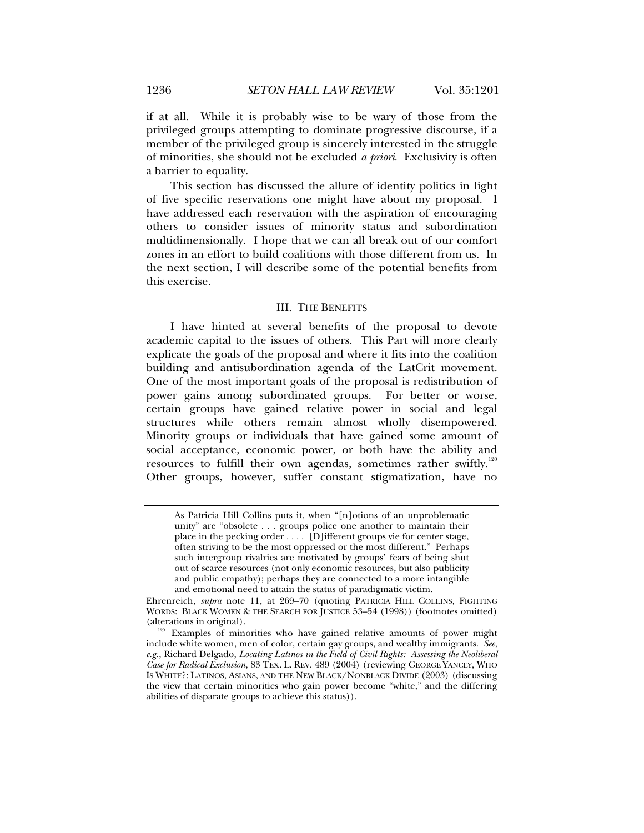if at all. While it is probably wise to be wary of those from the privileged groups attempting to dominate progressive discourse, if a member of the privileged group is sincerely interested in the struggle of minorities, she should not be excluded *a priori*. Exclusivity is often a barrier to equality.

This section has discussed the allure of identity politics in light of five specific reservations one might have about my proposal. I have addressed each reservation with the aspiration of encouraging others to consider issues of minority status and subordination multidimensionally. I hope that we can all break out of our comfort zones in an effort to build coalitions with those different from us. In the next section, I will describe some of the potential benefits from this exercise.

# III. THE BENEFITS

I have hinted at several benefits of the proposal to devote academic capital to the issues of others. This Part will more clearly explicate the goals of the proposal and where it fits into the coalition building and antisubordination agenda of the LatCrit movement. One of the most important goals of the proposal is redistribution of power gains among subordinated groups. For better or worse, certain groups have gained relative power in social and legal structures while others remain almost wholly disempowered. Minority groups or individuals that have gained some amount of social acceptance, economic power, or both have the ability and resources to fulfill their own agendas, sometimes rather swiftly.<sup>120</sup> Other groups, however, suffer constant stigmatization, have no

As Patricia Hill Collins puts it, when "[n]otions of an unproblematic unity" are "obsolete . . . groups police one another to maintain their place in the pecking order . . . . [D] ifferent groups vie for center stage, often striving to be the most oppressed or the most different." Perhaps such intergroup rivalries are motivated by groups' fears of being shut out of scarce resources (not only economic resources, but also publicity and public empathy); perhaps they are connected to a more intangible and emotional need to attain the status of paradigmatic victim.

Ehrenreich, *supra* note 11, at 269–70 (quoting PATRICIA HILL COLLINS, FIGHTING WORDS: BLACK WOMEN & THE SEARCH FOR JUSTICE 53–54 (1998)) (footnotes omitted) (alterations in original).

<sup>&</sup>lt;sup>120</sup> Examples of minorities who have gained relative amounts of power might include white women, men of color, certain gay groups, and wealthy immigrants. *See, e.g.*, Richard Delgado, *Locating Latinos in the Field of Civil Rights: Assessing the Neoliberal Case for Radical Exclusion*, 83 TEX. L. REV. 489 (2004) (reviewing GEORGE YANCEY, WHO IS WHITE?: LATINOS, ASIANS, AND THE NEW BLACK/NONBLACK DIVIDE (2003) (discussing the view that certain minorities who gain power become "white," and the differing abilities of disparate groups to achieve this status)).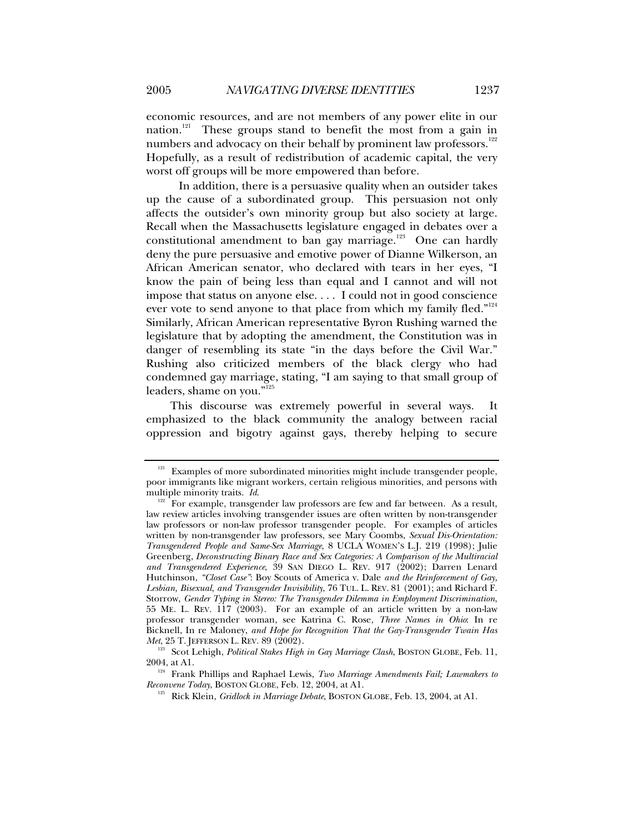economic resources, and are not members of any power elite in our nation.<sup>121</sup> These groups stand to benefit the most from a gain in numbers and advocacy on their behalf by prominent law professors. $^{122}$ Hopefully, as a result of redistribution of academic capital, the very worst off groups will be more empowered than before.

 In addition, there is a persuasive quality when an outsider takes up the cause of a subordinated group. This persuasion not only affects the outsider's own minority group but also society at large. Recall when the Massachusetts legislature engaged in debates over a constitutional amendment to ban gay marriage.<sup>123</sup> One can hardly deny the pure persuasive and emotive power of Dianne Wilkerson, an African American senator, who declared with tears in her eyes, "I know the pain of being less than equal and I cannot and will not impose that status on anyone else. . . . I could not in good conscience ever vote to send anyone to that place from which my family fled." $124$ Similarly, African American representative Byron Rushing warned the legislature that by adopting the amendment, the Constitution was in danger of resembling its state "in the days before the Civil War." Rushing also criticized members of the black clergy who had condemned gay marriage, stating, "I am saying to that small group of leaders, shame on you."<sup>125</sup>

This discourse was extremely powerful in several ways. It emphasized to the black community the analogy between racial oppression and bigotry against gays, thereby helping to secure

 $121$  Examples of more subordinated minorities might include transgender people, poor immigrants like migrant workers, certain religious minorities, and persons with multiple minority traits.  $Id$ .

<sup>&</sup>lt;sup>122</sup> For example, transgender law professors are few and far between. As a result, law review articles involving transgender issues are often written by non-transgender law professors or non-law professor transgender people. For examples of articles written by non-transgender law professors, see Mary Coombs, *Sexual Dis-Orientation: Transgendered People and Same-Sex Marriage*, 8 UCLA WOMEN'S L.J. 219 (1998); Julie Greenberg, *Deconstructing Binary Race and Sex Categories: A Comparison of the Multiracial and Transgendered Experience*, 39 SAN DIEGO L. REV. 917 (2002); Darren Lenard Hutchinson, *"Closet Case"*: Boy Scouts of America v. Dale *and the Reinforcement of Gay, Lesbian, Bisexual, and Transgender Invisibility*, 76 TUL. L. REV. 81 (2001); and Richard F. Storrow, *Gender Typing in Stereo: The Transgender Dilemma in Employment Discrimination*, 55 ME. L. REV. 117 (2003). For an example of an article written by a non-law professor transgender woman, see Katrina C. Rose, *Three Names in Ohio*: In re Bicknell, In re Maloney, *and Hope for Recognition That the Gay-Transgender Twain Has* 

<sup>&</sup>lt;sup>123</sup> Scot Lehigh, *Political Stakes High in Gay Marriage Clash*, BOSTON GLOBE, Feb. 11,

<sup>2004,</sup> at A1.<br><sup>124</sup> Frank Phillips and Raphael Lewis, *Two Marriage Amendments Fail; Lawmakers to Reconvene Today*, BOSTON GLOBE, Feb. 12, 2004, at A1.

<sup>&</sup>lt;sup>125</sup> Rick Klein, *Gridlock in Marriage Debate*, BOSTON GLOBE, Feb. 13, 2004, at A1.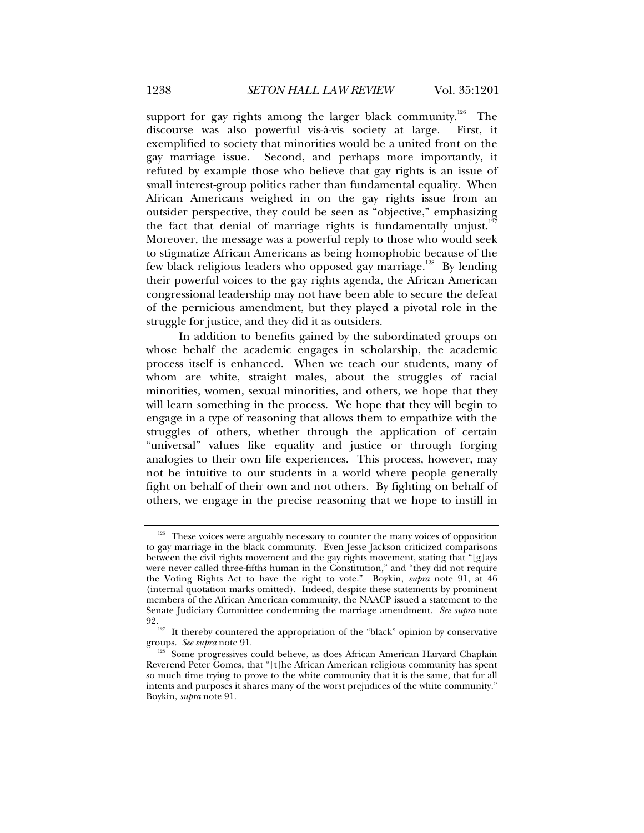support for gay rights among the larger black community.<sup>126</sup> The discourse was also powerful vis-à-vis society at large. First, it exemplified to society that minorities would be a united front on the gay marriage issue. Second, and perhaps more importantly, it refuted by example those who believe that gay rights is an issue of small interest-group politics rather than fundamental equality. When African Americans weighed in on the gay rights issue from an outsider perspective, they could be seen as "objective," emphasizing the fact that denial of marriage rights is fundamentally unjust.<sup>12</sup> Moreover, the message was a powerful reply to those who would seek to stigmatize African Americans as being homophobic because of the few black religious leaders who opposed gay marriage.<sup>128</sup> By lending their powerful voices to the gay rights agenda, the African American congressional leadership may not have been able to secure the defeat of the pernicious amendment, but they played a pivotal role in the struggle for justice, and they did it as outsiders.

 In addition to benefits gained by the subordinated groups on whose behalf the academic engages in scholarship, the academic process itself is enhanced. When we teach our students, many of whom are white, straight males, about the struggles of racial minorities, women, sexual minorities, and others, we hope that they will learn something in the process. We hope that they will begin to engage in a type of reasoning that allows them to empathize with the struggles of others, whether through the application of certain "universal" values like equality and justice or through forging analogies to their own life experiences. This process, however, may not be intuitive to our students in a world where people generally fight on behalf of their own and not others. By fighting on behalf of others, we engage in the precise reasoning that we hope to instill in

<sup>&</sup>lt;sup>126</sup> These voices were arguably necessary to counter the many voices of opposition to gay marriage in the black community. Even Jesse Jackson criticized comparisons between the civil rights movement and the gay rights movement, stating that "[g]ays were never called three-fifths human in the Constitution," and "they did not require the Voting Rights Act to have the right to vote." Boykin, *supra* note 91, at 46 (internal quotation marks omitted). Indeed, despite these statements by prominent members of the African American community, the NAACP issued a statement to the Senate Judiciary Committee condemning the marriage amendment. *See supra* note

<sup>92.&</sup>lt;br><sup>127</sup> It thereby countered the appropriation of the "black" opinion by conservative groups. *See supra* note 91.

Some progressives could believe, as does African American Harvard Chaplain Reverend Peter Gomes, that "[t]he African American religious community has spent so much time trying to prove to the white community that it is the same, that for all intents and purposes it shares many of the worst prejudices of the white community." Boykin, *supra* note 91.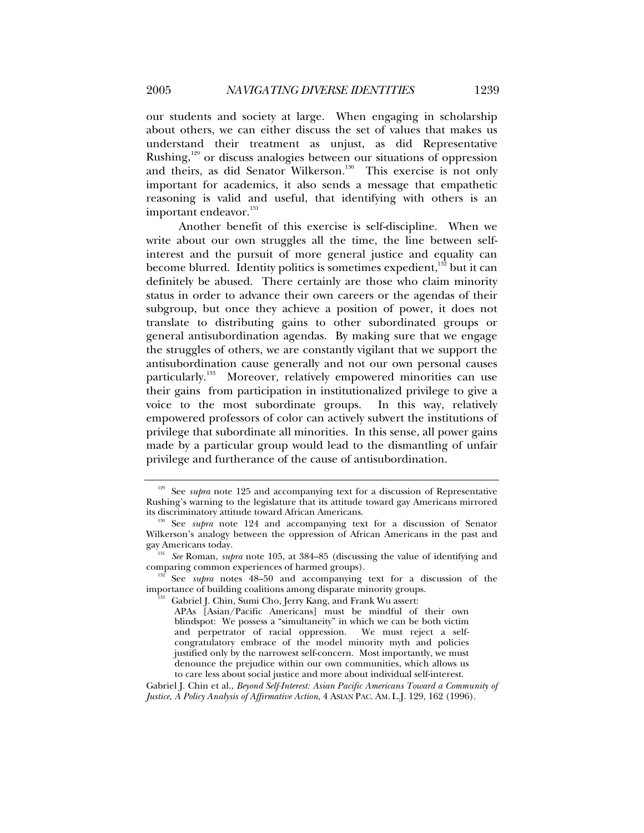our students and society at large. When engaging in scholarship about others, we can either discuss the set of values that makes us understand their treatment as unjust, as did Representative Rushing,<sup>129</sup> or discuss analogies between our situations of oppression and theirs, as did Senator Wilkerson.<sup>130</sup> This exercise is not only important for academics, it also sends a message that empathetic reasoning is valid and useful, that identifying with others is an important endeavor.<sup>131</sup>

 Another benefit of this exercise is self-discipline. When we write about our own struggles all the time, the line between selfinterest and the pursuit of more general justice and equality can become blurred. Identity politics is sometimes expedient,<sup>132</sup> but it can definitely be abused. There certainly are those who claim minority status in order to advance their own careers or the agendas of their subgroup, but once they achieve a position of power, it does not translate to distributing gains to other subordinated groups or general antisubordination agendas. By making sure that we engage the struggles of others, we are constantly vigilant that we support the antisubordination cause generally and not our own personal causes particularly.<sup>133</sup> Moreover, relatively empowered minorities can use their gains from participation in institutionalized privilege to give a voice to the most subordinate groups. In this way, relatively empowered professors of color can actively subvert the institutions of privilege that subordinate all minorities. In this sense, all power gains made by a particular group would lead to the dismantling of unfair privilege and furtherance of the cause of antisubordination.

<sup>&</sup>lt;sup>129</sup> See *supra* note 125 and accompanying text for a discussion of Representative Rushing's warning to the legislature that its attitude toward gay Americans mirrored

<sup>&</sup>lt;sup>130</sup> See supra note 124 and accompanying text for a discussion of Senator Wilkerson's analogy between the oppression of African Americans in the past and

<sup>&</sup>lt;sup>131</sup> See Roman, *supra* note 105, at 384–85 (discussing the value of identifying and comparing common experiences of harmed groups).

<sup>&</sup>lt;sup>132</sup> See *supra* notes 48–50 and accompanying text for a discussion of the importance of building coalitions among disparate minority groups.

Gabriel J. Chin, Sumi Cho, Jerry Kang, and Frank Wu assert:

APAs [Asian/Pacific Americans] must be mindful of their own blindspot: We possess a "simultaneity" in which we can be both victim and perpetrator of racial oppression. We must reject a selfcongratulatory embrace of the model minority myth and policies justified only by the narrowest self-concern. Most importantly, we must denounce the prejudice within our own communities, which allows us to care less about social justice and more about individual self-interest.

Gabriel J. Chin et al., *Beyond Self-Interest: Asian Pacific Americans Toward a Community of Justice, A Policy Analysis of Affirmative Action*, 4 ASIAN PAC. AM. L.J. 129, 162 (1996).